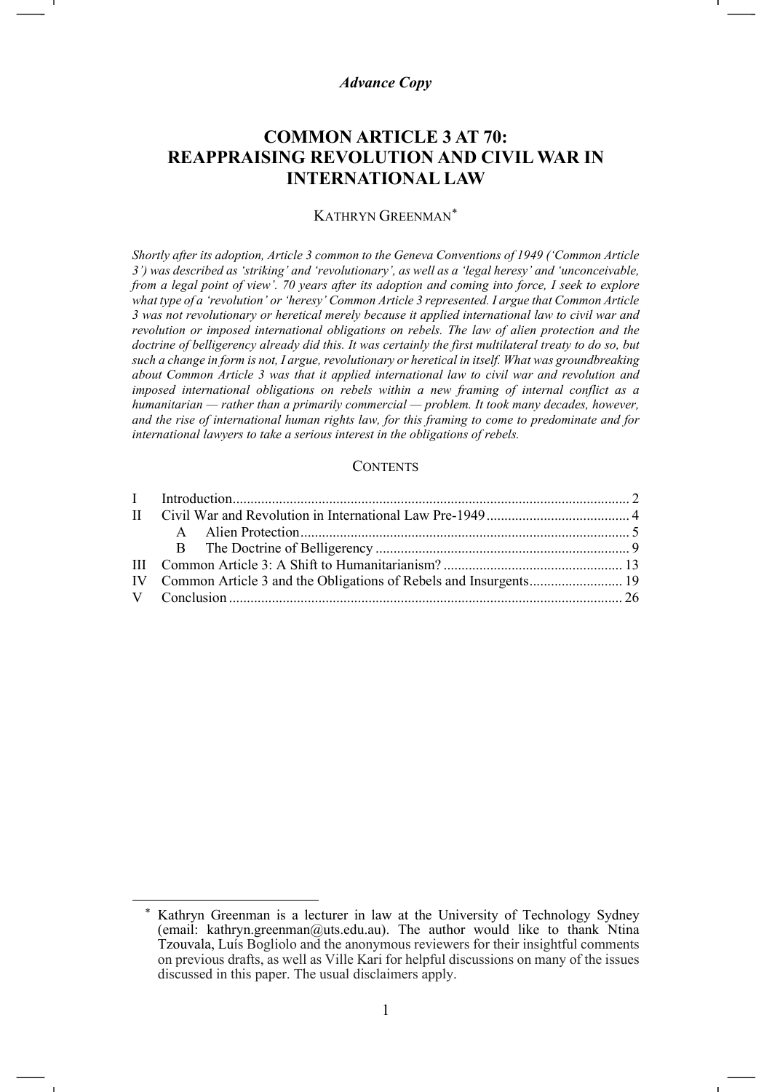# *Advance Copy*

# **COMMON ARTICLE 3 AT 70: REAPPRAISING REVOLUTION AND CIVIL WAR IN INTERNATIONAL LAW**

#### KATHRYN GREENMAN[\\*](#page-0-0)

*Shortly after its adoption, Article 3 common to the Geneva Conventions of 1949 ('Common Article 3') was described as 'striking' and 'revolutionary', as well as a 'legal heresy' and 'unconceivable, from a legal point of view'. 70 years after its adoption and coming into force, I seek to explore what type of a 'revolution' or 'heresy' Common Article 3 represented. I argue that Common Article 3 was not revolutionary or heretical merely because it applied international law to civil war and revolution or imposed international obligations on rebels. The law of alien protection and the doctrine of belligerency already did this. It was certainly the first multilateral treaty to do so, but such a change in form is not, I argue, revolutionary or heretical in itself. What was groundbreaking about Common Article 3 was that it applied international law to civil war and revolution and imposed international obligations on rebels within a new framing of internal conflict as a humanitarian — rather than a primarily commercial — problem. It took many decades, however, and the rise of international human rights law, for this framing to come to predominate and for international lawyers to take a serious interest in the obligations of rebels.*

## **CONTENTS**

<span id="page-0-0"></span>Kathryn Greenman is a lecturer in law at the University of Technology Sydney (email: [kathryn.greenman@uts.edu.au\)](mailto:kathryn.greenman@uts.edu.au). The author would like to thank Ntina Tzouvala, Luís Bogliolo and the anonymous reviewers for their insightful comments on previous drafts, as well as Ville Kari for helpful discussions on many of the issues discussed in this paper. The usual disclaimers apply.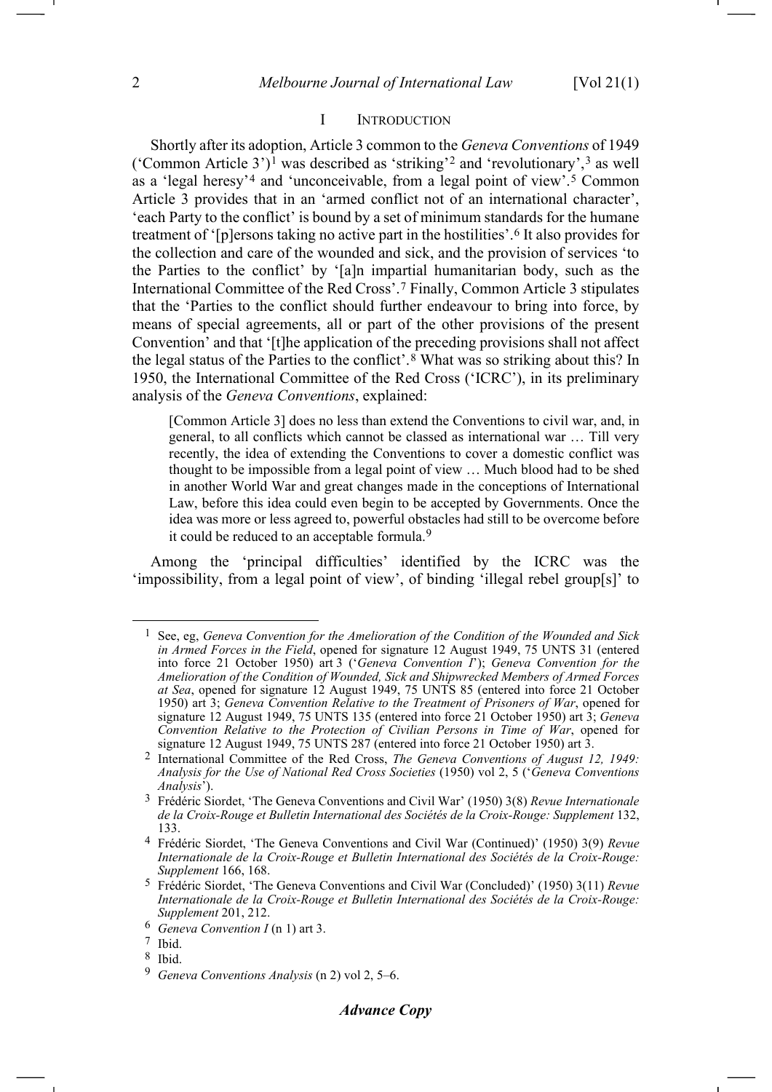#### <span id="page-1-13"></span><span id="page-1-12"></span><span id="page-1-11"></span><span id="page-1-1"></span><span id="page-1-0"></span>I INTRODUCTION

Shortly after its adoption, Article 3 common to the *Geneva Conventions* of 1949 ('Common Article 3')[1](#page-1-2) was described as 'striking'[2](#page-1-3) and 'revolutionary',[3](#page-1-4) as well as a 'legal heresy'[4](#page-1-5) and 'unconceivable, from a legal point of view'.[5](#page-1-6) Common Article 3 provides that in an 'armed conflict not of an international character', 'each Party to the conflict' is bound by a set of minimum standards for the humane treatment of '[p]ersons taking no active part in the hostilities'.[6](#page-1-7) It also provides for the collection and care of the wounded and sick, and the provision of services 'to the Parties to the conflict' by '[a]n impartial humanitarian body, such as the International Committee of the Red Cross'.[7](#page-1-8) Finally, Common Article 3 stipulates that the 'Parties to the conflict should further endeavour to bring into force, by means of special agreements, all or part of the other provisions of the present Convention' and that '[t]he application of the preceding provisions shall not affect the legal status of the Parties to the conflict'.[8](#page-1-9) What was so striking about this? In 1950, the International Committee of the Red Cross ('ICRC'), in its preliminary analysis of the *Geneva Conventions*, explained:

[Common Article 3] does no less than extend the Conventions to civil war, and, in general, to all conflicts which cannot be classed as international war … Till very recently, the idea of extending the Conventions to cover a domestic conflict was thought to be impossible from a legal point of view … Much blood had to be shed in another World War and great changes made in the conceptions of International Law, before this idea could even begin to be accepted by Governments. Once the idea was more or less agreed to, powerful obstacles had still to be overcome before it could be reduced to an acceptable formula.<sup>[9](#page-1-10)</sup>

Among the 'principal difficulties' identified by the ICRC was the 'impossibility, from a legal point of view', of binding 'illegal rebel group[s]' to

<span id="page-1-2"></span><sup>1</sup> See, eg, *Geneva Convention for the Amelioration of the Condition of the Wounded and Sick in Armed Forces in the Field*, opened for signature 12 August 1949, 75 UNTS 31 (entered into force 21 October 1950) art 3 ('*Geneva Convention I*'); *Geneva Convention for the Amelioration of the Condition of Wounded, Sick and Shipwrecked Members of Armed Forces at Sea*, opened for signature 12 August 1949, 75 UNTS 85 (entered into force 21 October 1950) art 3; *Geneva Convention Relative to the Treatment of Prisoners of War*, opened for signature 12 August 1949, 75 UNTS 135 (entered into force 21 October 1950) art 3; *Geneva Convention Relative to the Protection of Civilian Persons in Time of War*, opened for signature 12 August 1949, 75 UNTS 287 (entered into force 21 October 1950) art 3.

<span id="page-1-3"></span><sup>2</sup> International Committee of the Red Cross, *The Geneva Conventions of August 12, 1949: Analysis for the Use of National Red Cross Societies* (1950) vol 2, 5 ('*Geneva Conventions Analysis*').

<span id="page-1-4"></span><sup>3</sup> Frédéric Siordet, 'The Geneva Conventions and Civil War' (1950) 3(8) *Revue Internationale de la Croix-Rouge et Bulletin International des Sociétés de la Croix-Rouge: Supplement* 132, 133.

<span id="page-1-5"></span><sup>4</sup> Frédéric Siordet, 'The Geneva Conventions and Civil War (Continued)' (1950) 3(9) *Revue Internationale de la Croix-Rouge et Bulletin International des Sociétés de la Croix-Rouge: Supplement* 166, 168.

<span id="page-1-6"></span><sup>5</sup> Frédéric Siordet, 'The Geneva Conventions and Civil War (Concluded)' (1950) 3(11) *Revue Internationale de la Croix-Rouge et Bulletin International des Sociétés de la Croix-Rouge: Supplement* 201, 212.

<span id="page-1-7"></span><sup>6</sup> *Geneva Convention I* (n [1\)](#page-1-0) art 3.

<span id="page-1-8"></span><sup>7</sup> Ibid.

<span id="page-1-9"></span><sup>8</sup> Ibid.

<span id="page-1-10"></span><sup>9</sup> *Geneva Conventions Analysis* (n [2\)](#page-1-1) vol 2, 5–6.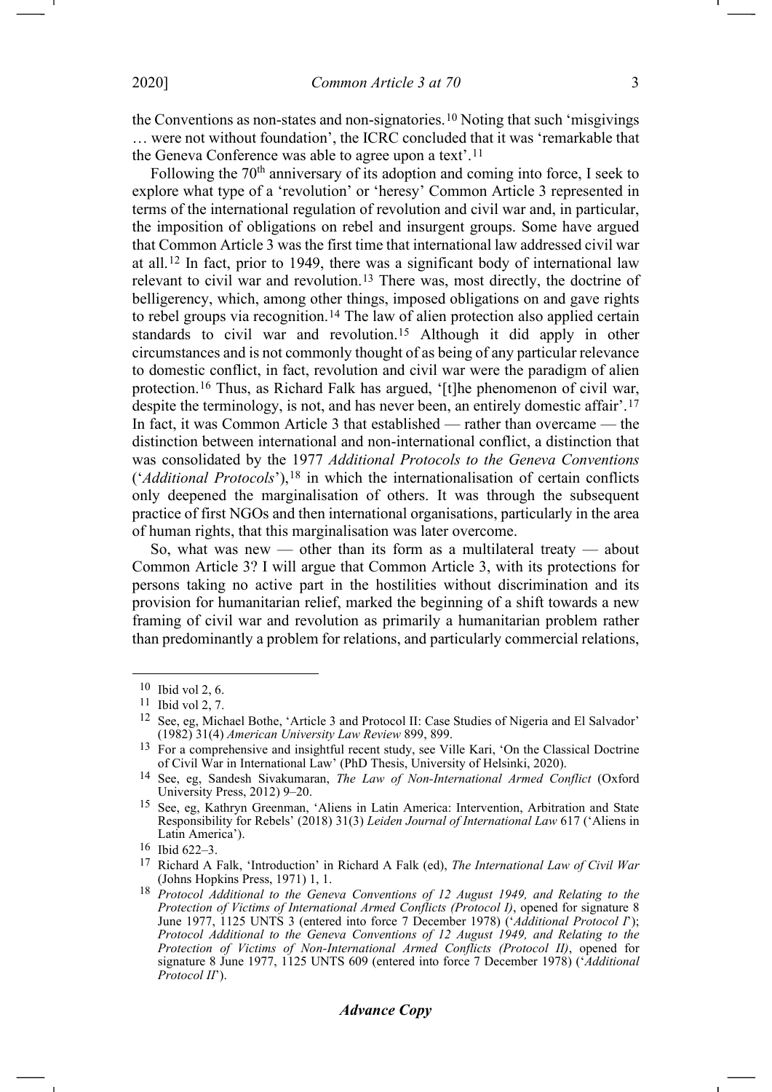the Conventions as non-states and non-signatories.[10](#page-2-0) Noting that such 'misgivings … were not without foundation', the ICRC concluded that it was 'remarkable that the Geneva Conference was able to agree upon a text'.[11](#page-2-1)

<span id="page-2-14"></span><span id="page-2-11"></span><span id="page-2-9"></span>Following the  $70<sup>th</sup>$  anniversary of its adoption and coming into force, I seek to explore what type of a 'revolution' or 'heresy' Common Article 3 represented in terms of the international regulation of revolution and civil war and, in particular, the imposition of obligations on rebel and insurgent groups. Some have argued that Common Article 3 was the first time that international law addressed civil war at all.[12](#page-2-2) In fact, prior to 1949, there was a significant body of international law relevant to civil war and revolution.[13](#page-2-3) There was, most directly, the doctrine of belligerency, which, among other things, imposed obligations on and gave rights to rebel groups via recognition.<sup>[14](#page-2-4)</sup> The law of alien protection also applied certain standards to civil war and revolution.[15](#page-2-5) Although it did apply in other circumstances and is not commonly thought of as being of any particular relevance to domestic conflict, in fact, revolution and civil war were the paradigm of alien protection.[16](#page-2-6) Thus, as Richard Falk has argued, '[t]he phenomenon of civil war, despite the terminology, is not, and has never been, an entirely domestic affair'.[17](#page-2-7) In fact, it was Common Article 3 that established — rather than overcame — the distinction between international and non-international conflict, a distinction that was consolidated by the 1977 *Additional Protocols to the Geneva Conventions* ('*Additional Protocols*'),[18](#page-2-8) in which the internationalisation of certain conflicts only deepened the marginalisation of others. It was through the subsequent practice of first NGOs and then international organisations, particularly in the area of human rights, that this marginalisation was later overcome.

<span id="page-2-13"></span><span id="page-2-12"></span><span id="page-2-10"></span>So, what was new — other than its form as a multilateral treaty — about Common Article 3? I will argue that Common Article 3, with its protections for persons taking no active part in the hostilities without discrimination and its provision for humanitarian relief, marked the beginning of a shift towards a new framing of civil war and revolution as primarily a humanitarian problem rather than predominantly a problem for relations, and particularly commercial relations,

<span id="page-2-0"></span><sup>10</sup> Ibid vol 2, 6.

<span id="page-2-1"></span><sup>11</sup> Ibid vol 2, 7.

<span id="page-2-2"></span><sup>12</sup> See, eg, Michael Bothe, 'Article 3 and Protocol II: Case Studies of Nigeria and El Salvador' (1982) 31(4) *American University Law Review* 899, 899.

<span id="page-2-3"></span><sup>13</sup> For a comprehensive and insightful recent study, see Ville Kari, 'On the Classical Doctrine of Civil War in International Law' (PhD Thesis, University of Helsinki, 2020).

<span id="page-2-4"></span><sup>14</sup> See, eg, Sandesh Sivakumaran, *The Law of Non-International Armed Conflict* (Oxford University Press, 2012) 9–20.

<span id="page-2-5"></span><sup>15</sup> See, eg, Kathryn Greenman, 'Aliens in Latin America: Intervention, Arbitration and State Responsibility for Rebels' (2018) 31(3) *Leiden Journal of International Law* 617 ('Aliens in Latin America').

<span id="page-2-6"></span><sup>16</sup> Ibid 622–3.

<span id="page-2-7"></span><sup>17</sup> Richard A Falk, 'Introduction' in Richard A Falk (ed), *The International Law of Civil War*  (Johns Hopkins Press, 1971) 1, 1.

<span id="page-2-8"></span><sup>18</sup> *Protocol Additional to the Geneva Conventions of 12 August 1949, and Relating to the Protection of Victims of International Armed Conflicts (Protocol I)*, opened for signature 8 June 1977, 1125 UNTS 3 (entered into force 7 December 1978) ('*Additional Protocol I*'); *Protocol Additional to the Geneva Conventions of 12 August 1949, and Relating to the Protection of Victims of Non-International Armed Conflicts (Protocol II)*, opened for signature 8 June 1977, 1125 UNTS 609 (entered into force 7 December 1978) ('*Additional Protocol II*').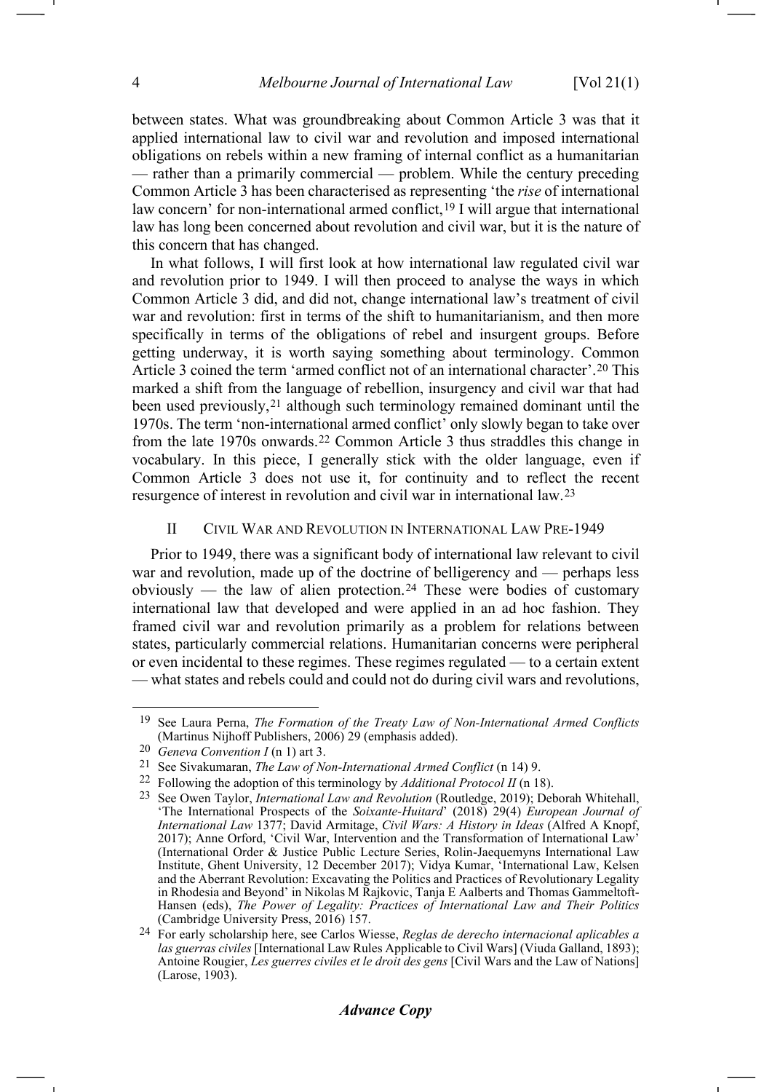between states. What was groundbreaking about Common Article 3 was that it applied international law to civil war and revolution and imposed international obligations on rebels within a new framing of internal conflict as a humanitarian — rather than a primarily commercial — problem. While the century preceding Common Article 3 has been characterised as representing 'the *rise* of international law concern' for non-international armed conflict,<sup>[19](#page-3-0)</sup> I will argue that international law has long been concerned about revolution and civil war, but it is the nature of this concern that has changed.

In what follows, I will first look at how international law regulated civil war and revolution prior to 1949. I will then proceed to analyse the ways in which Common Article 3 did, and did not, change international law's treatment of civil war and revolution: first in terms of the shift to humanitarianism, and then more specifically in terms of the obligations of rebel and insurgent groups. Before getting underway, it is worth saying something about terminology. Common Article 3 coined the term 'armed conflict not of an international character'.[20](#page-3-1) This marked a shift from the language of rebellion, insurgency and civil war that had been used previously,<sup>[21](#page-3-2)</sup> although such terminology remained dominant until the 1970s. The term 'non-international armed conflict' only slowly began to take over from the late 1970s onwards.[22](#page-3-3) Common Article 3 thus straddles this change in vocabulary. In this piece, I generally stick with the older language, even if Common Article 3 does not use it, for continuity and to reflect the recent resurgence of interest in revolution and civil war in international law.[23](#page-3-4)

## II CIVIL WAR AND REVOLUTION IN INTERNATIONAL LAW PRE-1949

Prior to 1949, there was a significant body of international law relevant to civil war and revolution, made up of the doctrine of belligerency and — perhaps less obviously — the law of alien protection.[24](#page-3-5) These were bodies of customary international law that developed and were applied in an ad hoc fashion. They framed civil war and revolution primarily as a problem for relations between states, particularly commercial relations. Humanitarian concerns were peripheral or even incidental to these regimes. These regimes regulated — to a certain extent — what states and rebels could and could not do during civil wars and revolutions,

<span id="page-3-0"></span><sup>19</sup> See Laura Perna, *The Formation of the Treaty Law of Non-International Armed Conflicts* (Martinus Nijhoff Publishers, 2006) 29 (emphasis added).

<span id="page-3-1"></span><sup>20</sup> *Geneva Convention I* (n [1\)](#page-1-0) art 3.

<span id="page-3-2"></span><sup>21</sup> See Sivakumaran, *The Law of Non-International Armed Conflict* (n [14\)](#page-2-9) 9.

<span id="page-3-3"></span><sup>22</sup> Following the adoption of this terminology by *Additional Protocol II* ([n 18\)](#page-2-10).

<span id="page-3-4"></span><sup>23</sup> See Owen Taylor, *International Law and Revolution* (Routledge, 2019); Deborah Whitehall, 'The International Prospects of the *Soixante-Huitard*' (2018) 29(4) *European Journal of International Law* 1377; David Armitage, *Civil Wars: A History in Ideas* (Alfred A Knopf, 2017); Anne Orford, 'Civil War, Intervention and the Transformation of International Law' (International Order & Justice Public Lecture Series, Rolin-Jaequemyns International Law Institute, Ghent University, 12 December 2017); Vidya Kumar, 'International Law, Kelsen and the Aberrant Revolution: Excavating the Politics and Practices of Revolutionary Legality in Rhodesia and Beyond' in Nikolas M Rajkovic, Tanja E Aalberts and Thomas Gammeltoft-Hansen (eds), *The Power of Legality: Practices of International Law and Their Politics* (Cambridge University Press, 2016) 157.

<span id="page-3-5"></span><sup>24</sup> For early scholarship here, see Carlos Wiesse, *Reglas de derecho internacional aplicables a las guerras civiles* [International Law Rules Applicable to Civil Wars] (Viuda Galland, 1893); Antoine Rougier, *Les guerres civiles et le droit des gens* [Civil Wars and the Law of Nations] (Larose, 1903).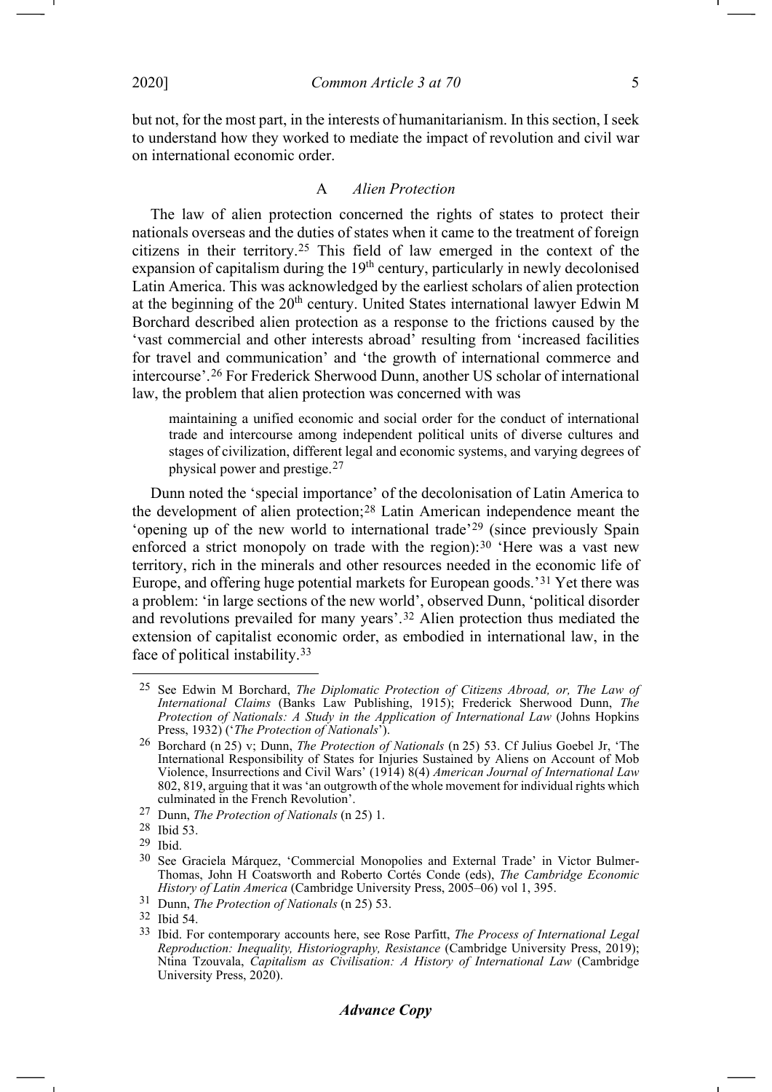-1

but not, for the most part, in the interests of humanitarianism. In this section, I seek to understand how they worked to mediate the impact of revolution and civil war on international economic order.

#### <span id="page-4-0"></span>A *Alien Protection*

The law of alien protection concerned the rights of states to protect their nationals overseas and the duties of states when it came to the treatment of foreign citizens in their territory.[25](#page-4-1) This field of law emerged in the context of the expansion of capitalism during the 19<sup>th</sup> century, particularly in newly decolonised Latin America. This was acknowledged by the earliest scholars of alien protection at the beginning of the  $20<sup>th</sup>$  century. United States international lawyer Edwin M Borchard described alien protection as a response to the frictions caused by the 'vast commercial and other interests abroad' resulting from 'increased facilities for travel and communication' and 'the growth of international commerce and intercourse'.[26](#page-4-2) For Frederick Sherwood Dunn, another US scholar of international law, the problem that alien protection was concerned with was

maintaining a unified economic and social order for the conduct of international trade and intercourse among independent political units of diverse cultures and stages of civilization, different legal and economic systems, and varying degrees of physical power and prestige.[27](#page-4-3)

Dunn noted the 'special importance' of the decolonisation of Latin America to the development of alien protection;[28](#page-4-4) Latin American independence meant the 'opening up of the new world to international trade'[29](#page-4-5) (since previously Spain enforced a strict monopoly on trade with the region): $30$  'Here was a vast new territory, rich in the minerals and other resources needed in the economic life of Europe, and offering huge potential markets for European goods.'[31](#page-4-7) Yet there was a problem: 'in large sections of the new world', observed Dunn, 'political disorder and revolutions prevailed for many years'.[32](#page-4-8) Alien protection thus mediated the extension of capitalist economic order, as embodied in international law, in the face of political instability.[33](#page-4-9)

<span id="page-4-1"></span><sup>25</sup> See Edwin M Borchard, *The Diplomatic Protection of Citizens Abroad, or, The Law of International Claims* (Banks Law Publishing, 1915); Frederick Sherwood Dunn, *The Protection of Nationals: A Study in the Application of International Law* (Johns Hopkins Press, 1932) ('*The Protection of Nationals*').

<span id="page-4-2"></span><sup>26</sup> Borchard (n [25\)](#page-4-0) v; Dunn, *The Protection of Nationals* (n [25\)](#page-4-0) 53. Cf Julius Goebel Jr, 'The International Responsibility of States for Injuries Sustained by Aliens on Account of Mob Violence, Insurrections and Civil Wars' (1914) 8(4) *American Journal of International Law*  802, 819, arguing that it was 'an outgrowth of the whole movement for individual rights which culminated in the French Revolution'.

<sup>27</sup> Dunn, *The Protection of Nationals* (n [25\)](#page-4-0) 1.

<span id="page-4-4"></span><span id="page-4-3"></span><sup>28</sup> Ibid 53.

<span id="page-4-6"></span><span id="page-4-5"></span><sup>29</sup> Ibid.

<sup>30</sup> See Graciela Márquez, 'Commercial Monopolies and External Trade' in Victor Bulmer-Thomas, John H Coatsworth and Roberto Cortés Conde (eds), *The Cambridge Economic History of Latin America* (Cambridge University Press, 2005–06) vol 1, 395.

<span id="page-4-7"></span><sup>31</sup> Dunn, *The Protection of Nationals* (n [25\)](#page-4-0) 53.

<span id="page-4-8"></span><sup>32</sup> Ibid 54.

<span id="page-4-9"></span><sup>33</sup> Ibid. For contemporary accounts here, see Rose Parfitt, *The Process of International Legal Reproduction: Inequality, Historiography, Resistance* (Cambridge University Press, 2019); Ntina Tzouvala, *Capitalism as Civilisation: A History of International Law* (Cambridge University Press, 2020).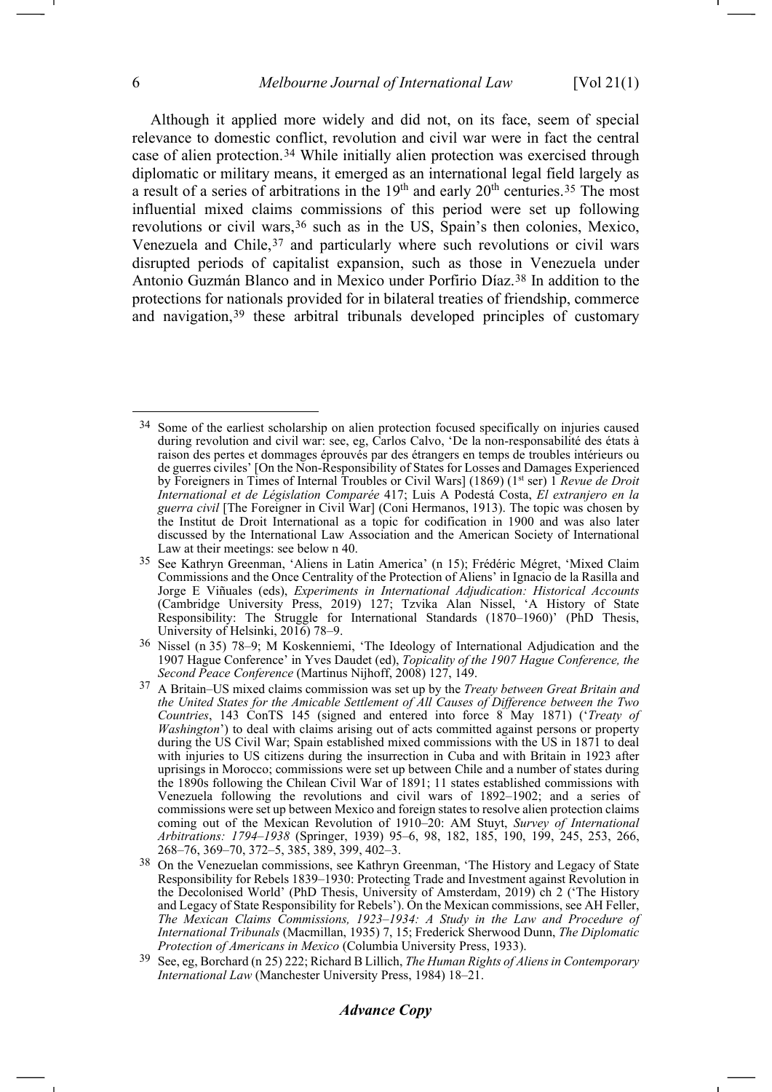<span id="page-5-7"></span><span id="page-5-0"></span>Although it applied more widely and did not, on its face, seem of special relevance to domestic conflict, revolution and civil war were in fact the central case of alien protection.[34](#page-5-1) While initially alien protection was exercised through diplomatic or military means, it emerged as an international legal field largely as a result of a series of arbitrations in the  $19<sup>th</sup>$  and early  $20<sup>th</sup>$  centuries.<sup>[35](#page-5-2)</sup> The most influential mixed claims commissions of this period were set up following revolutions or civil wars,<sup>[36](#page-5-3)</sup> such as in the US, Spain's then colonies, Mexico, Venezuela and Chile, [37](#page-5-4) and particularly where such revolutions or civil wars disrupted periods of capitalist expansion, such as those in Venezuela under Antonio Guzmán Blanco and in Mexico under Porfirio Díaz.[38](#page-5-5) In addition to the protections for nationals provided for in bilateral treaties of friendship, commerce and navigation,[39](#page-5-6) these arbitral tribunals developed principles of customary

<span id="page-5-8"></span><span id="page-5-1"></span><sup>&</sup>lt;sup>34</sup> Some of the earliest scholarship on alien protection focused specifically on injuries caused during revolution and civil war: see, eg, Carlos Calvo, 'De la non-responsabilité des états à raison des pertes et dommages éprouvés par des étrangers en temps de troubles intérieurs ou de guerres civiles' [On the Non-Responsibility of States for Losses and Damages Experienced by Foreigners in Times of Internal Troubles or Civil Wars] (1869) (1st ser) 1 *Revue de Droit International et de Législation Comparée* 417; Luis A Podestá Costa, *El extranjero en la guerra civil* [The Foreigner in Civil War] (Coni Hermanos, 1913). The topic was chosen by the Institut de Droit International as a topic for codification in 1900 and was also later discussed by the International Law Association and the American Society of International Law at their meetings: see below n 40.

<span id="page-5-2"></span><sup>&</sup>lt;sup>35</sup> See Kathryn Greenman, 'Aliens in Latin America' (n [15\)](#page-2-11); Frédéric Mégret, 'Mixed Claim Commissions and the Once Centrality of the Protection of Aliens' in Ignacio de la Rasilla and Jorge E Viñuales (eds), *Experiments in International Adjudication: Historical Accounts* (Cambridge University Press, 2019) 127; Tzvika Alan Nissel, 'A History of State Responsibility: The Struggle for International Standards (1870–1960)' (PhD Thesis, University of Helsinki, 2016) 78–9.

<span id="page-5-3"></span><sup>36</sup> Nissel (n [35\)](#page-5-0) 78–9; M Koskenniemi, 'The Ideology of International Adjudication and the 1907 Hague Conference' in Yves Daudet (ed), *Topicality of the 1907 Hague Conference, the Second Peace Conference* (Martinus Nijhoff, 2008) 127, 149.

<span id="page-5-4"></span><sup>37</sup> A Britain–US mixed claims commission was set up by the *Treaty between Great Britain and the United States for the Amicable Settlement of All Causes of Difference between the Two Countries*, 143 ConTS 145 (signed and entered into force 8 May 1871) ('*Treaty of Washington*') to deal with claims arising out of acts committed against persons or property during the US Civil War; Spain established mixed commissions with the US in 1871 to deal with injuries to US citizens during the insurrection in Cuba and with Britain in 1923 after uprisings in Morocco; commissions were set up between Chile and a number of states during the 1890s following the Chilean Civil War of 1891; 11 states established commissions with Venezuela following the revolutions and civil wars of 1892–1902; and a series of commissions were set up between Mexico and foreign states to resolve alien protection claims coming out of the Mexican Revolution of 1910–20: AM Stuyt, *Survey of International Arbitrations: 1794–1938* (Springer, 1939) 95–6, 98, 182, 185, 190, 199, 245, 253, 266, 268–76, 369–70, 372–5, 385, 389, 399, 402–3.

<span id="page-5-5"></span><sup>38</sup> On the Venezuelan commissions, see Kathryn Greenman, 'The History and Legacy of State Responsibility for Rebels 1839–1930: Protecting Trade and Investment against Revolution in the Decolonised World' (PhD Thesis, University of Amsterdam, 2019) ch 2 ('The History and Legacy of State Responsibility for Rebels'). On the Mexican commissions, see AH Feller, The Mexican Claims Commissions, 1923–1934: A Study in the Law and Procedure of *International Tribunals* (Macmillan, 1935) 7, 15; Frederick Sherwood Dunn, *The Diplomatic Protection of Americans in Mexico* (Columbia University Press, 1933).

<span id="page-5-6"></span><sup>39</sup> See, eg, Borchard (n [25\)](#page-4-0) 222; Richard B Lillich, *The Human Rights of Aliens in Contemporary International Law* (Manchester University Press, 1984) 18–21.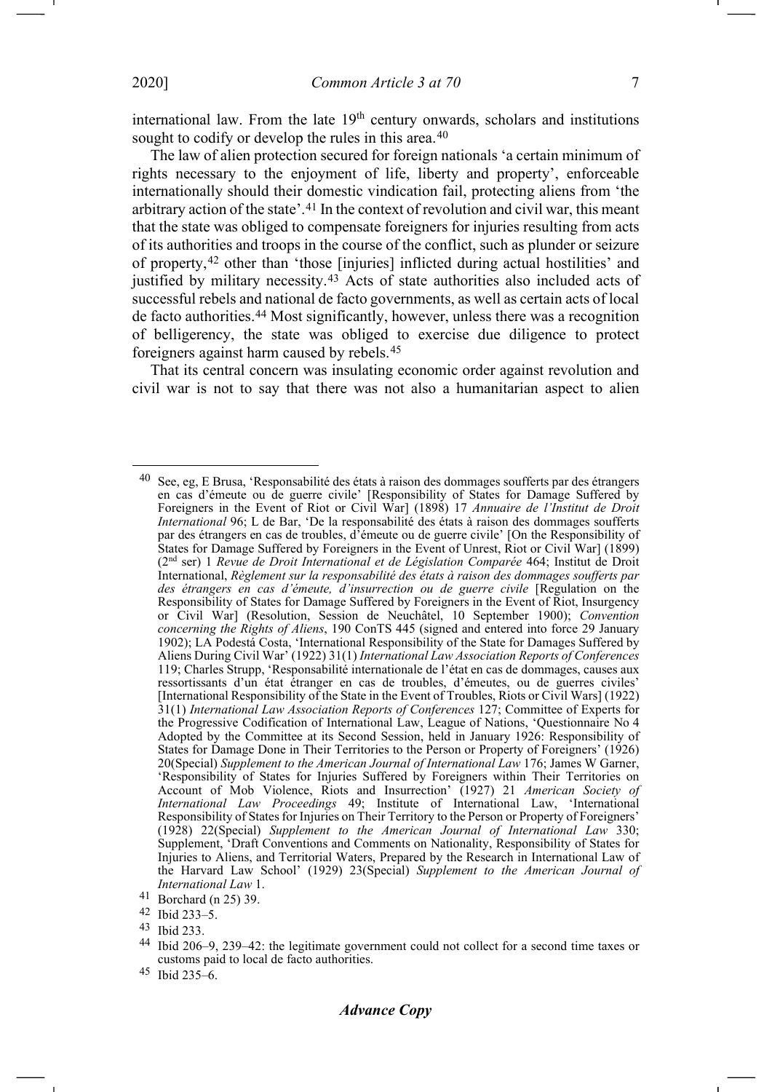<span id="page-6-0"></span>

international law. From the late  $19<sup>th</sup>$  century onwards, scholars and institutions sought to codify or develop the rules in this area.<sup>[40](#page-6-1)</sup>

The law of alien protection secured for foreign nationals 'a certain minimum of rights necessary to the enjoyment of life, liberty and property', enforceable internationally should their domestic vindication fail, protecting aliens from 'the arbitrary action of the state'.[41](#page-6-2) In the context of revolution and civil war, this meant that the state was obliged to compensate foreigners for injuries resulting from acts of its authorities and troops in the course of the conflict, such as plunder or seizure of property,[42](#page-6-3) other than 'those [injuries] inflicted during actual hostilities' and justified by military necessity.<sup>[43](#page-6-4)</sup> Acts of state authorities also included acts of successful rebels and national de facto governments, as well as certain acts of local de facto authorities.[44](#page-6-5) Most significantly, however, unless there was a recognition of belligerency, the state was obliged to exercise due diligence to protect foreigners against harm caused by rebels.[45](#page-6-6)

That its central concern was insulating economic order against revolution and civil war is not to say that there was not also a humanitarian aspect to alien

<span id="page-6-1"></span>See, eg, E Brusa, 'Responsabilité des états à raison des dommages soufferts par des étrangers en cas d'émeute ou de guerre civile' [Responsibility of States for Damage Suffered by Foreigners in the Event of Riot or Civil War] (1898) 17 *Annuaire de l'Institut de Droit International* 96; L de Bar, 'De la responsabilité des états à raison des dommages soufferts par des étrangers en cas de troubles, d'émeute ou de guerre civile' [On the Responsibility of States for Damage Suffered by Foreigners in the Event of Unrest, Riot or Civil War] (1899) (2nd ser) 1 *Revue de Droit International et de Législation Comparée* 464; Institut de Droit International, *Règlement sur la responsabilité des états à raison des dommages soufferts par des étrangers en cas d'émeute, d'insurrection ou de guerre civile* [Regulation on the Responsibility of States for Damage Suffered by Foreigners in the Event of Riot, Insurgency or Civil War] (Resolution, Session de Neuchâtel, 10 September 1900); *Convention concerning the Rights of Aliens*, 190 ConTS 445 (signed and entered into force 29 January 1902); LA Podestá Costa, 'International Responsibility of the State for Damages Suffered by Aliens During Civil War' (1922) 31(1) *International Law Association Reports of Conferences* 119; Charles Strupp, 'Responsabilité internationale de l'état en cas de dommages, causes aux ressortissants d'un état étranger en cas de troubles, d'émeutes, ou de guerres civiles' [International Responsibility of the State in the Event of Troubles, Riots or Civil Wars] (1922) 31(1) *International Law Association Reports of Conferences* 127; Committee of Experts for the Progressive Codification of International Law, League of Nations, 'Questionnaire No 4 Adopted by the Committee at its Second Session, held in January 1926: Responsibility of States for Damage Done in Their Territories to the Person or Property of Foreigners' (1926) 20(Special) *Supplement to the American Journal of International Law* 176; James W Garner, 'Responsibility of States for Injuries Suffered by Foreigners within Their Territories on Account of Mob Violence, Riots and Insurrection' (1927) 21 *American Society of International Law Proceedings* 49; Institute of International Law, 'International Responsibility of States for Injuries on Their Territory to the Person or Property of Foreigners' (1928) 22(Special) *Supplement to the American Journal of International Law* 330; Supplement, 'Draft Conventions and Comments on Nationality, Responsibility of States for Injuries to Aliens, and Territorial Waters, Prepared by the Research in International Law of the Harvard Law School' (1929) 23(Special) *Supplement to the American Journal of International Law* 1.

<span id="page-6-2"></span><sup>41</sup> Borchard (n [25\)](#page-4-0) 39.

<span id="page-6-3"></span><sup>42</sup> Ibid 233–5.

<span id="page-6-4"></span><sup>43</sup> Ibid 233.

<span id="page-6-5"></span><sup>44</sup> Ibid 206–9, 239–42: the legitimate government could not collect for a second time taxes or customs paid to local de facto authorities.

<span id="page-6-6"></span><sup>45</sup> Ibid 235–6.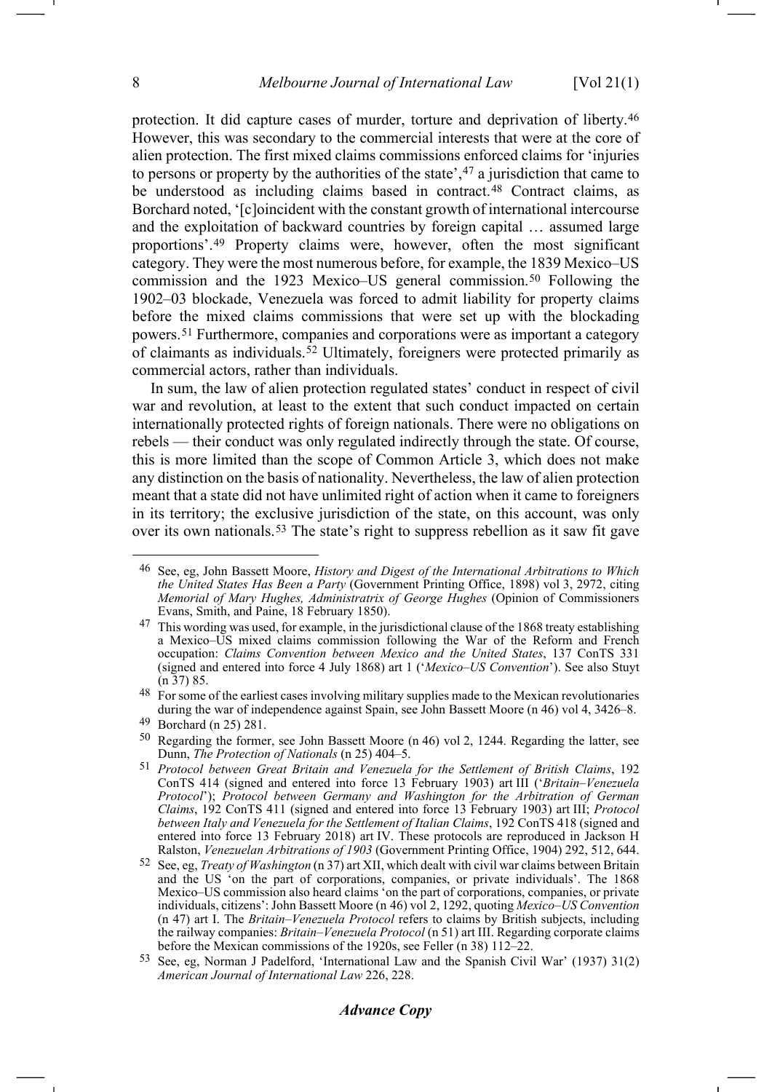<span id="page-7-1"></span><span id="page-7-0"></span>protection. It did capture cases of murder, torture and deprivation of liberty.[46](#page-7-3) However, this was secondary to the commercial interests that were at the core of alien protection. The first mixed claims commissions enforced claims for 'injuries to persons or property by the authorities of the state', <sup>[47](#page-7-4)</sup> a jurisdiction that came to be understood as including claims based in contract.<sup>[48](#page-7-5)</sup> Contract claims, as Borchard noted, '[c]oincident with the constant growth of international intercourse and the exploitation of backward countries by foreign capital … assumed large proportions'.[49](#page-7-6) Property claims were, however, often the most significant category. They were the most numerous before, for example, the 1839 Mexico–US commission and the 1923 Mexico–US general commission.[50](#page-7-7) Following the 1902–03 blockade, Venezuela was forced to admit liability for property claims before the mixed claims commissions that were set up with the blockading powers.[51](#page-7-8) Furthermore, companies and corporations were as important a category of claimants as individuals.[52](#page-7-9) Ultimately, foreigners were protected primarily as commercial actors, rather than individuals.

<span id="page-7-2"></span>In sum, the law of alien protection regulated states' conduct in respect of civil war and revolution, at least to the extent that such conduct impacted on certain internationally protected rights of foreign nationals. There were no obligations on rebels — their conduct was only regulated indirectly through the state. Of course, this is more limited than the scope of Common Article 3, which does not make any distinction on the basis of nationality. Nevertheless, the law of alien protection meant that a state did not have unlimited right of action when it came to foreigners in its territory; the exclusive jurisdiction of the state, on this account, was only over its own nationals.[53](#page-7-10) The state's right to suppress rebellion as it saw fit gave

# *Advance Copy*

<span id="page-7-11"></span><span id="page-7-3"></span><sup>46</sup> See, eg, John Bassett Moore, *History and Digest of the International Arbitrations to Which the United States Has Been a Party* (Government Printing Office, 1898) vol 3, 2972, citing *Memorial of Mary Hughes, Administratrix of George Hughes* (Opinion of Commissioners Evans, Smith, and Paine, 18 February 1850).

<span id="page-7-4"></span><sup>&</sup>lt;sup>47</sup> This wording was used, for example, in the jurisdictional clause of the 1868 treaty establishing a Mexico–US mixed claims commission following the War of the Reform and French occupation: *Claims Convention between Mexico and the United States*, 137 ConTS 331 (signed and entered into force 4 July 1868) art 1 ('*Mexico–US Convention*'). See also Stuyt ([n 37\)](#page-5-7) 85.

<span id="page-7-5"></span><sup>48</sup> For some of the earliest cases involving military supplies made to the Mexican revolutionaries during the war of independence against Spain, see John Bassett Moore ([n 46\)](#page-7-0) vol 4, 3426–8.

<span id="page-7-6"></span><sup>49</sup> Borchard (n [25\)](#page-4-0) 281.

<span id="page-7-7"></span><sup>50</sup> Regarding the former, see John Bassett Moore (n [46\)](#page-7-0) vol 2, 1244. Regarding the latter, see Dunn, *The Protection of Nationals* (n [25\)](#page-4-0) 404–5.

<span id="page-7-8"></span><sup>51</sup> *Protocol between Great Britain and Venezuela for the Settlement of British Claims*, 192 ConTS 414 (signed and entered into force 13 February 1903) art III ('*Britain–Venezuela Protocol*'); *Protocol between Germany and Washington for the Arbitration of German Claims*, 192 ConTS 411 (signed and entered into force 13 February 1903) art III; *Protocol between Italy and Venezuela for the Settlement of Italian Claims*, 192 ConTS 418 (signed and entered into force 13 February 2018) art IV. These protocols are reproduced in Jackson H Ralston, *Venezuelan Arbitrations of 1903* (Government Printing Office, 1904) 292, 512, 644.

<span id="page-7-9"></span><sup>52</sup> See, eg, *Treaty of Washington* ([n 37\)](#page-5-7) art XII, which dealt with civil war claims between Britain and the US 'on the part of corporations, companies, or private individuals'. The 1868 Mexico–US commission also heard claims 'on the part of corporations, companies, or private individuals, citizens': John Bassett Moore (n [46\)](#page-7-0) vol 2, 1292, quoting *Mexico–US Convention*  (n [47\)](#page-7-1) art I. The *Britain–Venezuela Protocol* refers to claims by British subjects, including the railway companies: *Britain–Venezuela Protocol* ([n 51\)](#page-7-2) art III. Regarding corporate claims before the Mexican commissions of the 1920s, see Feller (n [38\)](#page-5-8) 112–22.

<span id="page-7-10"></span><sup>53</sup> See, eg, Norman J Padelford, 'International Law and the Spanish Civil War' (1937) 31(2) *American Journal of International Law* 226, 228.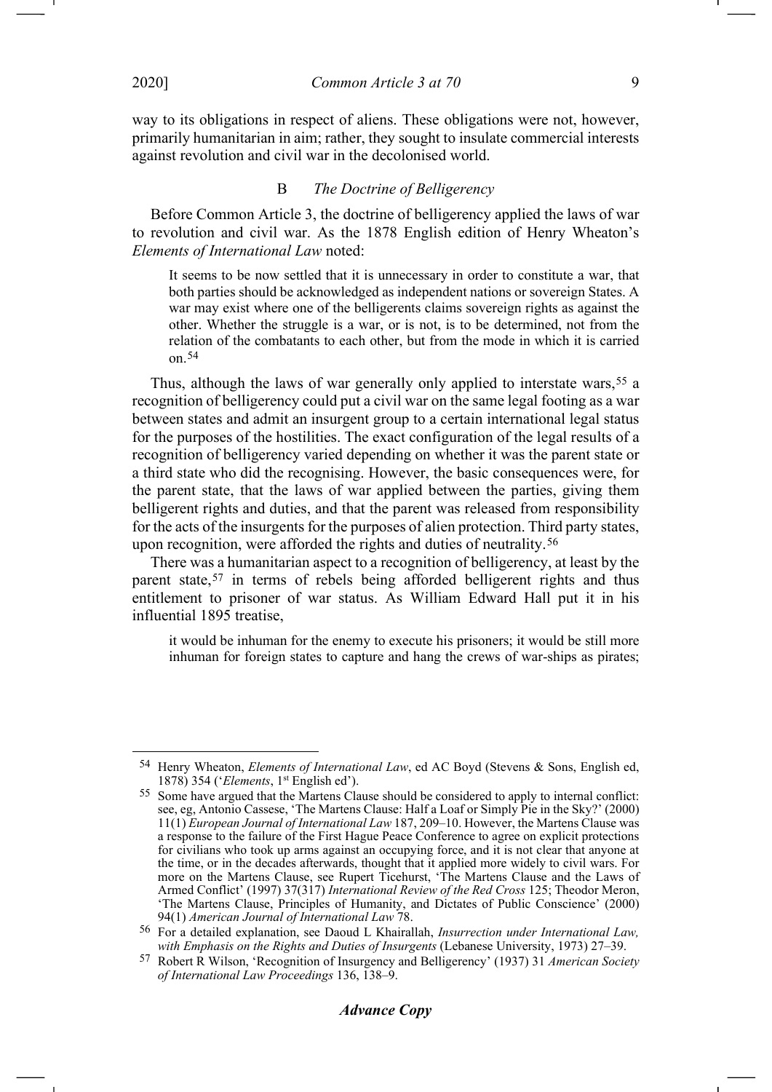way to its obligations in respect of aliens. These obligations were not, however, primarily humanitarian in aim; rather, they sought to insulate commercial interests against revolution and civil war in the decolonised world.

#### B *The Doctrine of Belligerency*

Before Common Article 3, the doctrine of belligerency applied the laws of war to revolution and civil war. As the 1878 English edition of Henry Wheaton's *Elements of International Law* noted:

It seems to be now settled that it is unnecessary in order to constitute a war, that both parties should be acknowledged as independent nations or sovereign States. A war may exist where one of the belligerents claims sovereign rights as against the other. Whether the struggle is a war, or is not, is to be determined, not from the relation of the combatants to each other, but from the mode in which it is carried on.[54](#page-8-0)

<span id="page-8-4"></span>Thus, although the laws of war generally only applied to interstate wars,<sup>[55](#page-8-1)</sup> a recognition of belligerency could put a civil war on the same legal footing as a war between states and admit an insurgent group to a certain international legal status for the purposes of the hostilities. The exact configuration of the legal results of a recognition of belligerency varied depending on whether it was the parent state or a third state who did the recognising. However, the basic consequences were, for the parent state, that the laws of war applied between the parties, giving them belligerent rights and duties, and that the parent was released from responsibility for the acts of the insurgents for the purposes of alien protection. Third party states, upon recognition, were afforded the rights and duties of neutrality.[56](#page-8-2)

There was a humanitarian aspect to a recognition of belligerency, at least by the parent state,<sup>[57](#page-8-3)</sup> in terms of rebels being afforded belligerent rights and thus entitlement to prisoner of war status. As William Edward Hall put it in his influential 1895 treatise,

<span id="page-8-6"></span><span id="page-8-5"></span>it would be inhuman for the enemy to execute his prisoners; it would be still more inhuman for foreign states to capture and hang the crews of war-ships as pirates;

<span id="page-8-0"></span><sup>54</sup> Henry Wheaton, *Elements of International Law*, ed AC Boyd (Stevens & Sons, English ed, 1878) 354 ('*Elements*, 1st English ed').

<span id="page-8-1"></span><sup>55</sup> Some have argued that the Martens Clause should be considered to apply to internal conflict: see, eg, Antonio Cassese, 'The Martens Clause: Half a Loaf or Simply Pie in the Sky?' (2000) 11(1) *European Journal of International Law* 187, 209–10. However, the Martens Clause was a response to the failure of the First Hague Peace Conference to agree on explicit protections for civilians who took up arms against an occupying force, and it is not clear that anyone at the time, or in the decades afterwards, thought that it applied more widely to civil wars. For more on the Martens Clause, see Rupert Ticehurst, 'The Martens Clause and the Laws of Armed Conflict' (1997) 37(317) *International Review of the Red Cross* 125; Theodor Meron, 'The Martens Clause, Principles of Humanity, and Dictates of Public Conscience' (2000) 94(1) *American Journal of International Law* 78.

<span id="page-8-2"></span><sup>56</sup> For a detailed explanation, see Daoud L Khairallah, *Insurrection under International Law, with Emphasis on the Rights and Duties of Insurgents* (Lebanese University, 1973) 27–39.

<span id="page-8-3"></span><sup>57</sup> Robert R Wilson, 'Recognition of Insurgency and Belligerency' (1937) 31 *American Society of International Law Proceedings* 136, 138–9.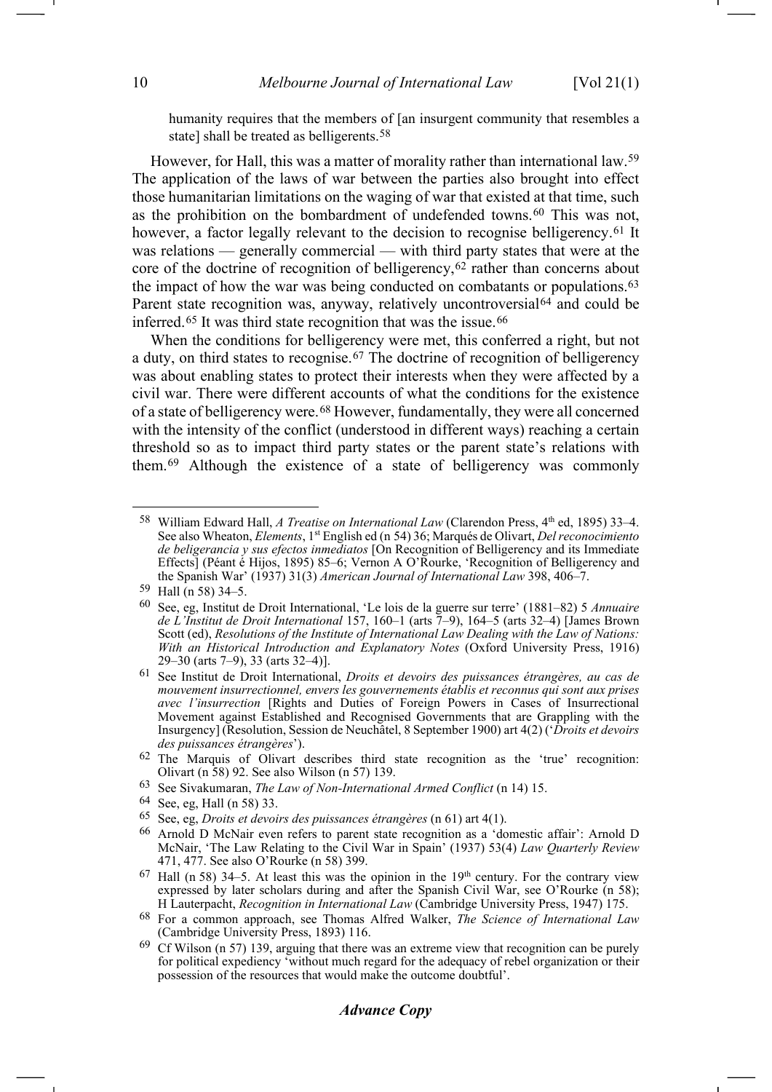<span id="page-9-1"></span><span id="page-9-0"></span>humanity requires that the members of [an insurgent community that resembles a state] shall be treated as belligerents.<sup>[58](#page-9-2)</sup>

However, for Hall, this was a matter of morality rather than international law.[59](#page-9-3) The application of the laws of war between the parties also brought into effect those humanitarian limitations on the waging of war that existed at that time, such as the prohibition on the bombardment of undefended towns.[60](#page-9-4) This was not, however, a factor legally relevant to the decision to recognise belligerency.<sup>[61](#page-9-5)</sup> It was relations — generally commercial — with third party states that were at the core of the doctrine of recognition of belligerency, $62$  rather than concerns about the impact of how the war was being conducted on combatants or populations.[63](#page-9-7) Parent state recognition was, anyway, relatively uncontroversial<sup>[64](#page-9-8)</sup> and could be inferred.<sup>[65](#page-9-9)</sup> It was third state recognition that was the issue.<sup>[66](#page-9-10)</sup>

<span id="page-9-15"></span><span id="page-9-14"></span>When the conditions for belligerency were met, this conferred a right, but not a duty, on third states to recognise.[67](#page-9-11) The doctrine of recognition of belligerency was about enabling states to protect their interests when they were affected by a civil war. There were different accounts of what the conditions for the existence of a state of belligerency were.[68](#page-9-12) However, fundamentally, they were all concerned with the intensity of the conflict (understood in different ways) reaching a certain threshold so as to impact third party states or the parent state's relations with them.[69](#page-9-13) Although the existence of a state of belligerency was commonly

## *Advance Copy*

<span id="page-9-2"></span><sup>58</sup> William Edward Hall, *A Treatise on International Law* (Clarendon Press, 4th ed, 1895) 33–4. See also Wheaton, *Elements*, 1st English ed (n [54\)](#page-8-4) 36; Marqués de Olivart, *Del reconocimiento de beligerancia y sus efectos inmediatos* [On Recognition of Belligerency and its Immediate Effects] (Péant é Hijos, 1895) 85–6; Vernon A O'Rourke, 'Recognition of Belligerency and the Spanish War' (1937) 31(3) *American Journal of International Law* 398, 406–7.

<span id="page-9-3"></span><sup>59</sup> Hall (n [58\)](#page-9-0) 34–5.

<span id="page-9-4"></span><sup>60</sup> See, eg, Institut de Droit International, 'Le lois de la guerre sur terre' (1881–82) 5 *Annuaire de L'Institut de Droit International* 157, 160–1 (arts 7–9), 164–5 (arts 32–4) [James Brown Scott (ed), *Resolutions of the Institute of International Law Dealing with the Law of Nations: With an Historical Introduction and Explanatory Notes* (Oxford University Press, 1916) 29–30 (arts 7–9), 33 (arts 32–4)].

<span id="page-9-5"></span><sup>61</sup> See Institut de Droit International, *Droits et devoirs des puissances étrangères, au cas de mouvement insurrectionnel, envers les gouvernements établis et reconnus qui sont aux prises avec l'insurrection* [Rights and Duties of Foreign Powers in Cases of Insurrectional Movement against Established and Recognised Governments that are Grappling with the Insurgency] (Resolution, Session de Neuchâtel, 8 September 1900) art 4(2) ('*Droits et devoirs des puissances étrangères*').

<span id="page-9-6"></span><sup>62</sup> The Marquis of Olivart describes third state recognition as the 'true' recognition: Olivart (n [58\)](#page-9-0) 92. See also Wilson (n [57\)](#page-8-5) 139.

<span id="page-9-7"></span><sup>63</sup> See Sivakumaran, *The Law of Non-International Armed Conflict* (n [14\)](#page-2-9) 15.

<span id="page-9-8"></span><sup>64</sup> See, eg, Hall (n [58\)](#page-9-0) 33.

<span id="page-9-9"></span><sup>65</sup> See, eg, *Droits et devoirs des puissances étrangères* (n [61\)](#page-9-1) art 4(1).

<span id="page-9-10"></span><sup>66</sup> Arnold D McNair even refers to parent state recognition as a 'domestic affair': Arnold D McNair, 'The Law Relating to the Civil War in Spain' (1937) 53(4) *Law Quarterly Review*  471, 477. See also O'Rourke (n [58\)](#page-9-0) 399.

<span id="page-9-11"></span> $67$  Hall (n [58\)](#page-9-0) 34–5. At least this was the opinion in the 19<sup>th</sup> century. For the contrary view expressed by later scholars during and after the Spanish Civil War, see O'Rourke (n [58\)](#page-9-0); H Lauterpacht, *Recognition in International Law* (Cambridge University Press, 1947) 175.

<span id="page-9-12"></span><sup>68</sup> For a common approach, see Thomas Alfred Walker, *The Science of International Law* (Cambridge University Press, 1893) 116.

<span id="page-9-13"></span> $69$  Cf Wilson (n [57\)](#page-8-5) 139, arguing that there was an extreme view that recognition can be purely for political expediency 'without much regard for the adequacy of rebel organization or their possession of the resources that would make the outcome doubtful'.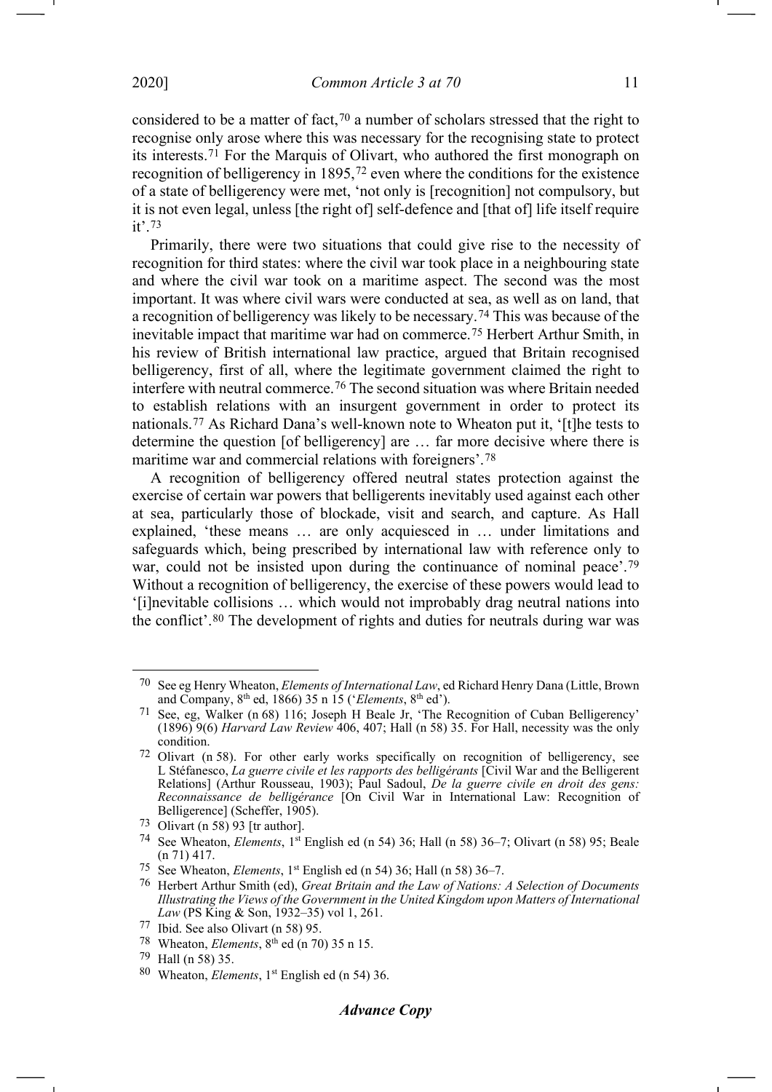<span id="page-10-1"></span><span id="page-10-0"></span>considered to be a matter of fact,<sup>[70](#page-10-2)</sup> a number of scholars stressed that the right to recognise only arose where this was necessary for the recognising state to protect its interests.[71](#page-10-3) For the Marquis of Olivart, who authored the first monograph on recognition of belligerency in 1895,[72](#page-10-4) even where the conditions for the existence of a state of belligerency were met, 'not only is [recognition] not compulsory, but it is not even legal, unless [the right of] self-defence and [that of] life itself require it'.[73](#page-10-5)

Primarily, there were two situations that could give rise to the necessity of recognition for third states: where the civil war took place in a neighbouring state and where the civil war took on a maritime aspect. The second was the most important. It was where civil wars were conducted at sea, as well as on land, that a recognition of belligerency was likely to be necessary.[74](#page-10-6) This was because of the inevitable impact that maritime war had on commerce.[75](#page-10-7) Herbert Arthur Smith, in his review of British international law practice, argued that Britain recognised belligerency, first of all, where the legitimate government claimed the right to interfere with neutral commerce.[76](#page-10-8) The second situation was where Britain needed to establish relations with an insurgent government in order to protect its nationals.[77](#page-10-9) As Richard Dana's well-known note to Wheaton put it, '[t]he tests to determine the question [of belligerency] are … far more decisive where there is maritime war and commercial relations with foreigners'.[78](#page-10-10)

A recognition of belligerency offered neutral states protection against the exercise of certain war powers that belligerents inevitably used against each other at sea, particularly those of blockade, visit and search, and capture. As Hall explained, 'these means … are only acquiesced in … under limitations and safeguards which, being prescribed by international law with reference only to war, could not be insisted upon during the continuance of nominal peace'.<sup>[79](#page-10-11)</sup> Without a recognition of belligerency, the exercise of these powers would lead to '[i]nevitable collisions … which would not improbably drag neutral nations into the conflict'.[80](#page-10-12) The development of rights and duties for neutrals during war was

.

<span id="page-10-2"></span><sup>70</sup> See eg Henry Wheaton, *Elements of International Law*, ed Richard Henry Dana (Little, Brown and Company, 8th ed, 1866) 35 n 15 ('*Elements*, 8th ed').

<span id="page-10-3"></span><sup>71</sup> See, eg, Walker (n [68\)](#page-9-14) 116; Joseph H Beale Jr, 'The Recognition of Cuban Belligerency' (1896) 9(6) *Harvard Law Review* 406, 407; Hall (n [58\)](#page-9-0) 35. For Hall, necessity was the only condition.

<span id="page-10-4"></span><sup>72</sup> Olivart (n [58\)](#page-9-0). For other early works specifically on recognition of belligerency, see L Stéfanesco, *La guerre civile et les rapports des belligérants* [Civil War and the Belligerent Relations] (Arthur Rousseau, 1903); Paul Sadoul, *De la guerre civile en droit des gens: Reconnaissance de belligérance* [On Civil War in International Law: Recognition of Belligerence] (Scheffer, 1905).

<span id="page-10-5"></span><sup>73</sup> Olivart (n [58\)](#page-9-0) 93 [tr author].

<span id="page-10-6"></span><sup>74</sup> See Wheaton, *Elements*, 1st English ed (n [54\)](#page-8-4) 36; Hall (n [58\)](#page-9-0) 36–7; Olivart (n [58\)](#page-9-0) 95; Beale ([n 71\)](#page-10-0) 417.

<span id="page-10-7"></span><sup>75</sup> See Wheaton, *Elements*, 1st English ed (n [54\)](#page-8-4) 36; Hall (n [58\)](#page-9-0) 36–7.

<span id="page-10-8"></span><sup>76</sup> Herbert Arthur Smith (ed), *Great Britain and the Law of Nations: A Selection of Documents Illustrating the Views of the Government in the United Kingdom upon Matters of International Law* (PS King & Son, 1932–35) vol 1, 261.

<span id="page-10-9"></span><sup>77</sup> Ibid. See also Olivart (n [58\)](#page-9-0) 95.

<span id="page-10-10"></span><sup>78</sup> Wheaton, *Elements*, 8th ed (n [70\)](#page-10-1) 35 n 15.

<span id="page-10-11"></span><sup>79</sup> Hall (n [58\)](#page-9-0) 35.

<span id="page-10-12"></span><sup>80</sup> Wheaton, *Elements*, 1st English ed (n [54\)](#page-8-4) 36.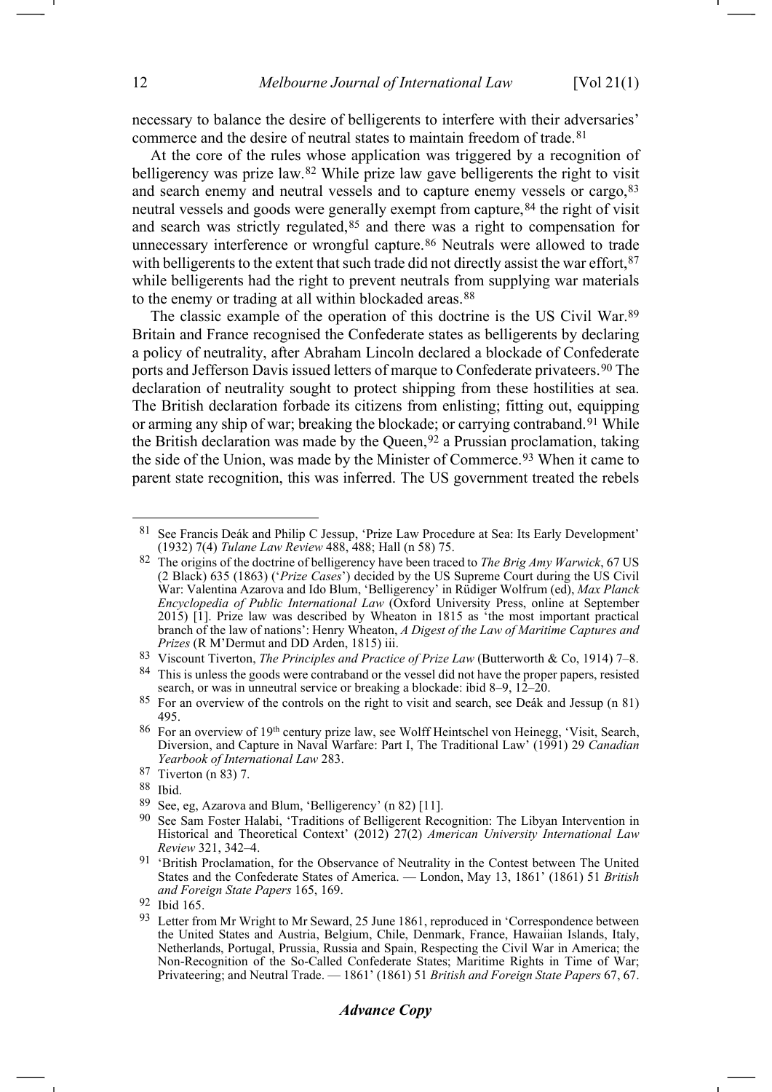<span id="page-11-0"></span>necessary to balance the desire of belligerents to interfere with their adversaries' commerce and the desire of neutral states to maintain freedom of trade.<sup>[81](#page-11-3)</sup>

<span id="page-11-2"></span><span id="page-11-1"></span>At the core of the rules whose application was triggered by a recognition of belligerency was prize law.[82](#page-11-4) While prize law gave belligerents the right to visit and search enemy and neutral vessels and to capture enemy vessels or cargo, [83](#page-11-5) neutral vessels and goods were generally exempt from capture,<sup>[84](#page-11-6)</sup> the right of visit and search was strictly regulated, $85$  and there was a right to compensation for unnecessary interference or wrongful capture.<sup>[86](#page-11-8)</sup> Neutrals were allowed to trade with belligerents to the extent that such trade did not directly assist the war effort,  $87$ while belligerents had the right to prevent neutrals from supplying war materials to the enemy or trading at all within blockaded areas.<sup>[88](#page-11-10)</sup>

The classic example of the operation of this doctrine is the US Civil War.[89](#page-11-11) Britain and France recognised the Confederate states as belligerents by declaring a policy of neutrality, after Abraham Lincoln declared a blockade of Confederate ports and Jefferson Davis issued letters of marque to Confederate privateers.[90](#page-11-12) The declaration of neutrality sought to protect shipping from these hostilities at sea. The British declaration forbade its citizens from enlisting; fitting out, equipping or arming any ship of war; breaking the blockade; or carrying contraband.<sup>[91](#page-11-13)</sup> While the British declaration was made by the Queen,  $92$  a Prussian proclamation, taking the side of the Union, was made by the Minister of Commerce.<sup>[93](#page-11-15)</sup> When it came to parent state recognition, this was inferred. The US government treated the rebels

## *Advance Copy*

<span id="page-11-3"></span>See Francis Deák and Philip C Jessup, 'Prize Law Procedure at Sea: Its Early Development' (1932) 7(4) *Tulane Law Review* 488, 488; Hall (n [58\)](#page-9-0) 75.

<span id="page-11-4"></span><sup>82</sup> The origins of the doctrine of belligerency have been traced to *The Brig Amy Warwick*, 67 US (2 Black) 635 (1863) ('*Prize Cases*') decided by the US Supreme Court during the US Civil War: Valentina Azarova and Ido Blum, 'Belligerency' in Rüdiger Wolfrum (ed), *Max Planck Encyclopedia of Public International Law* (Oxford University Press, online at September 2015) [1]. Prize law was described by Wheaton in 1815 as 'the most important practical branch of the law of nations': Henry Wheaton, *A Digest of the Law of Maritime Captures and Prizes* (R M'Dermut and DD Arden, 1815) iii.

<span id="page-11-5"></span><sup>83</sup> Viscount Tiverton, *The Principles and Practice of Prize Law* (Butterworth & Co, 1914) 7–8.

<span id="page-11-6"></span><sup>&</sup>lt;sup>84</sup> This is unless the goods were contraband or the vessel did not have the proper papers, resisted search, or was in unneutral service or breaking a blockade: ibid 8–9, 12–20.

<span id="page-11-7"></span><sup>85</sup> For an overview of the controls on the right to visit and search, see Deák and Jessup (n [81\)](#page-11-0) 495.

<span id="page-11-8"></span><sup>86</sup> For an overview of 19<sup>th</sup> century prize law, see Wolff Heintschel von Heinegg, 'Visit, Search, Diversion, and Capture in Naval Warfare: Part I, The Traditional Law' (1991) 29 *Canadian Yearbook of International Law* 283.

<sup>87</sup> Tiverton ([n 83\)](#page-11-1) 7.

<span id="page-11-10"></span><span id="page-11-9"></span><sup>88</sup> Ibid.

<span id="page-11-11"></span><sup>89</sup> See, eg, Azarova and Blum, 'Belligerency' (n [82\)](#page-11-2) [11].

<span id="page-11-12"></span><sup>&</sup>lt;sup>90</sup> See Sam Foster Halabi, 'Traditions of Belligerent Recognition: The Libyan Intervention in Historical and Theoretical Context' (2012) 27(2) *American University International Law Review* 321, 342–4.

<span id="page-11-13"></span><sup>91</sup> 'British Proclamation, for the Observance of Neutrality in the Contest between The United States and the Confederate States of America. — London, May 13, 1861' (1861) 51 *British and Foreign State Papers* 165, 169.

<span id="page-11-15"></span><span id="page-11-14"></span><sup>92</sup> Ibid 165.

<sup>93</sup> Letter from Mr Wright to Mr Seward, 25 June 1861, reproduced in 'Correspondence between the United States and Austria, Belgium, Chile, Denmark, France, Hawaiian Islands, Italy, Netherlands, Portugal, Prussia, Russia and Spain, Respecting the Civil War in America; the Non-Recognition of the So-Called Confederate States; Maritime Rights in Time of War; Privateering; and Neutral Trade. — 1861' (1861) 51 *British and Foreign State Papers* 67, 67.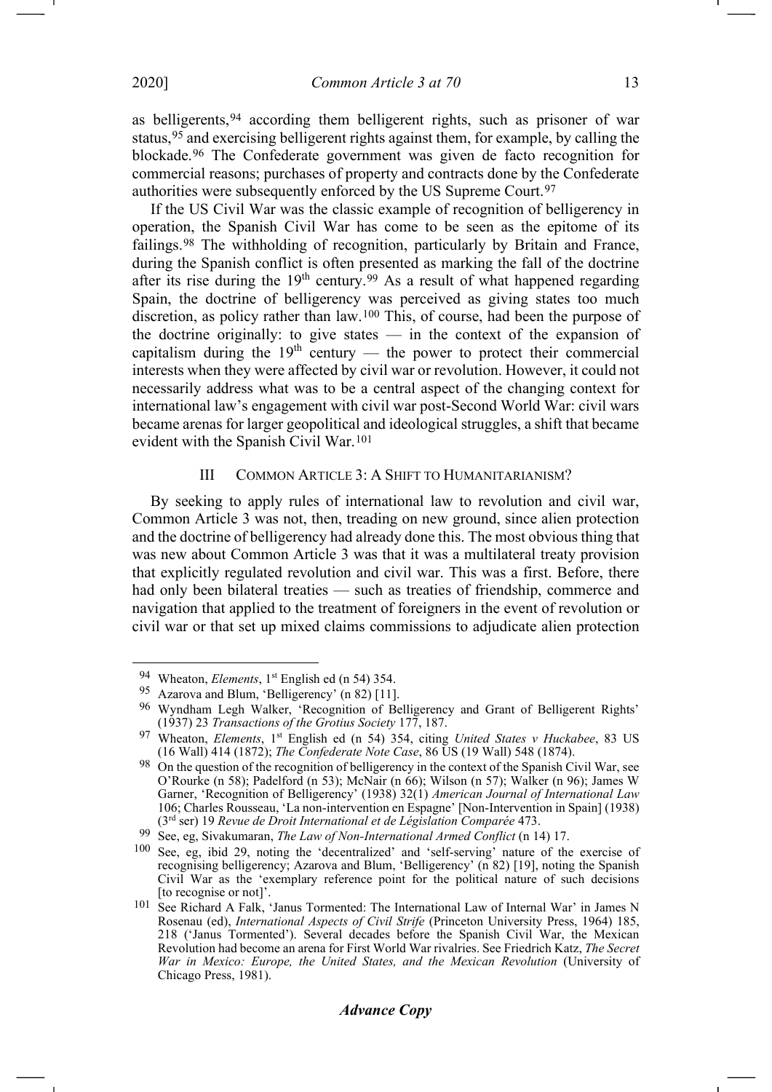<span id="page-12-0"></span>as belligerents,[94](#page-12-1) according them belligerent rights, such as prisoner of war status,[95](#page-12-2) and exercising belligerent rights against them, for example, by calling the blockade.[96](#page-12-3) The Confederate government was given de facto recognition for commercial reasons; purchases of property and contracts done by the Confederate authorities were subsequently enforced by the US Supreme Court.[97](#page-12-4)

If the US Civil War was the classic example of recognition of belligerency in operation, the Spanish Civil War has come to be seen as the epitome of its failings.[98](#page-12-5) The withholding of recognition, particularly by Britain and France, during the Spanish conflict is often presented as marking the fall of the doctrine after its rise during the 19<sup>th</sup> century.<sup>[99](#page-12-6)</sup> As a result of what happened regarding Spain, the doctrine of belligerency was perceived as giving states too much discretion, as policy rather than law.[100](#page-12-7) This, of course, had been the purpose of the doctrine originally: to give states — in the context of the expansion of capitalism during the  $19<sup>th</sup>$  century — the power to protect their commercial interests when they were affected by civil war or revolution. However, it could not necessarily address what was to be a central aspect of the changing context for international law's engagement with civil war post-Second World War: civil wars became arenas for larger geopolitical and ideological struggles, a shift that became evident with the Spanish Civil War.[101](#page-12-8)

# <span id="page-12-9"></span>III COMMON ARTICLE 3: A SHIFT TO HUMANITARIANISM?

By seeking to apply rules of international law to revolution and civil war, Common Article 3 was not, then, treading on new ground, since alien protection and the doctrine of belligerency had already done this. The most obvious thing that was new about Common Article 3 was that it was a multilateral treaty provision that explicitly regulated revolution and civil war. This was a first. Before, there had only been bilateral treaties — such as treaties of friendship, commerce and navigation that applied to the treatment of foreigners in the event of revolution or civil war or that set up mixed claims commissions to adjudicate alien protection -1

<span id="page-12-1"></span><sup>94</sup> Wheaton, *Elements*, 1<sup>st</sup> English ed (n [54\)](#page-8-4) 354.

<span id="page-12-2"></span><sup>95</sup> Azarova and Blum, 'Belligerency' (n [82\)](#page-11-2) [11].

<span id="page-12-3"></span><sup>96</sup> Wyndham Legh Walker, 'Recognition of Belligerency and Grant of Belligerent Rights' (1937) 23 *Transactions of the Grotius Society* 177, 187.

<span id="page-12-4"></span><sup>97</sup> Wheaton, *Elements*, 1st English ed (n [54\)](#page-8-4) 354, citing *United States v Huckabee*, 83 US (16 Wall) 414 (1872); *The Confederate Note Case*, 86 US (19 Wall) 548 (1874).

<span id="page-12-5"></span><sup>&</sup>lt;sup>98</sup> On the question of the recognition of belligerency in the context of the Spanish Civil War, see O'Rourke (n [58\)](#page-9-0); Padelford (n [53\)](#page-7-11); McNair (n [66\)](#page-9-15); Wilson (n [57\)](#page-8-5); Walker (n [96\)](#page-12-0); James W Garner, 'Recognition of Belligerency' (1938) 32(1) *American Journal of International Law* 106; Charles Rousseau, 'La non-intervention en Espagne' [Non-Intervention in Spain] (1938) (3rd ser) 19 *Revue de Droit International et de Législation Comparée* 473.

<sup>99</sup> See, eg, Sivakumaran, *The Law of Non-International Armed Conflict* (n [14\)](#page-2-9) 17.

<span id="page-12-7"></span><span id="page-12-6"></span><sup>100</sup> See, eg, ibid 29, noting the 'decentralized' and 'self-serving' nature of the exercise of recognising belligerency; Azarova and Blum, 'Belligerency' (n [82\)](#page-11-2) [19], noting the Spanish Civil War as the 'exemplary reference point for the political nature of such decisions [to recognise or not]'.

<span id="page-12-8"></span><sup>101</sup> See Richard A Falk, 'Janus Tormented: The International Law of Internal War' in James N Rosenau (ed), *International Aspects of Civil Strife* (Princeton University Press, 1964) 185, 218 ('Janus Tormented'). Several decades before the Spanish Civil War, the Mexican Revolution had become an arena for First World War rivalries. See Friedrich Katz, *The Secret War in Mexico: Europe, the United States, and the Mexican Revolution* (University of Chicago Press, 1981).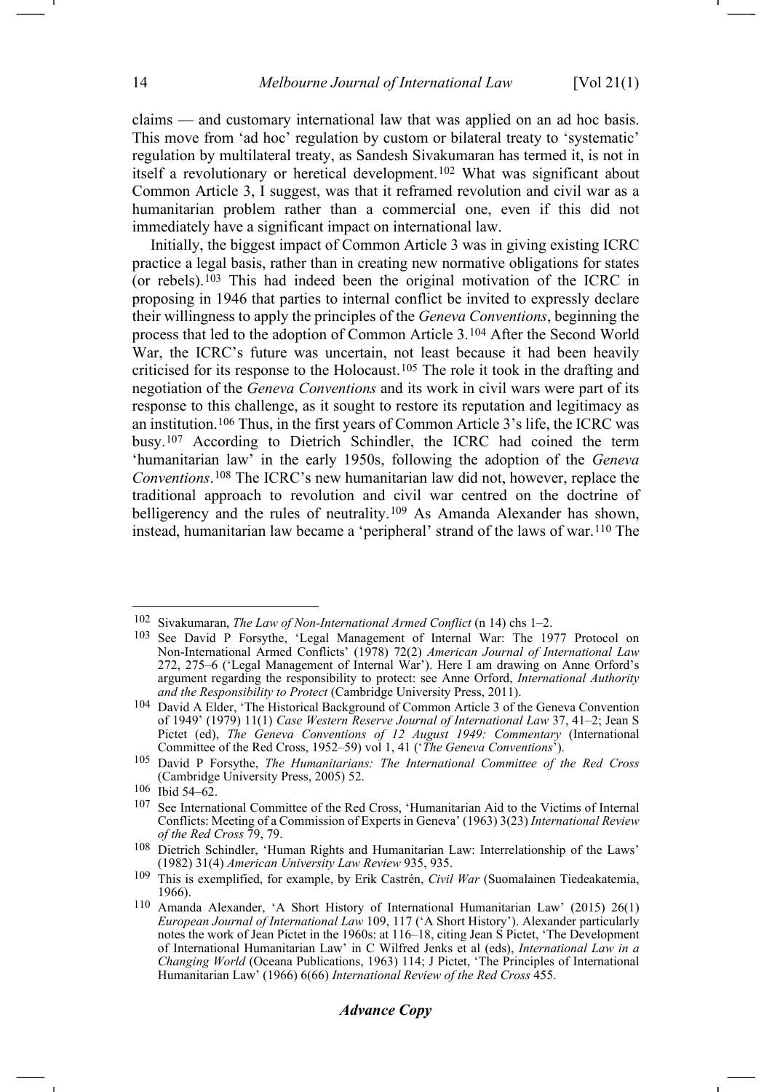-1

claims — and customary international law that was applied on an ad hoc basis. This move from 'ad hoc' regulation by custom or bilateral treaty to 'systematic' regulation by multilateral treaty, as Sandesh Sivakumaran has termed it, is not in itself a revolutionary or heretical development.[102](#page-13-0) What was significant about Common Article 3, I suggest, was that it reframed revolution and civil war as a humanitarian problem rather than a commercial one, even if this did not immediately have a significant impact on international law.

<span id="page-13-12"></span><span id="page-13-11"></span>Initially, the biggest impact of Common Article 3 was in giving existing ICRC practice a legal basis, rather than in creating new normative obligations for states (or rebels).[103](#page-13-1) This had indeed been the original motivation of the ICRC in proposing in 1946 that parties to internal conflict be invited to expressly declare their willingness to apply the principles of the *Geneva Conventions*, beginning the process that led to the adoption of Common Article 3.[104](#page-13-2) After the Second World War, the ICRC's future was uncertain, not least because it had been heavily criticised for its response to the Holocaust.[105](#page-13-3) The role it took in the drafting and negotiation of the *Geneva Conventions* and its work in civil wars were part of its response to this challenge, as it sought to restore its reputation and legitimacy as an institution.[106](#page-13-4) Thus, in the first years of Common Article 3's life, the ICRC was busy.[107](#page-13-5) According to Dietrich Schindler, the ICRC had coined the term 'humanitarian law' in the early 1950s, following the adoption of the *Geneva Conventions*.[108](#page-13-6) The ICRC's new humanitarian law did not, however, replace the traditional approach to revolution and civil war centred on the doctrine of belligerency and the rules of neutrality.<sup>[109](#page-13-7)</sup> As Amanda Alexander has shown, instead, humanitarian law became a 'peripheral' strand of the laws of war.[110](#page-13-8) The

# *Advance Copy*

<span id="page-13-10"></span><span id="page-13-9"></span><span id="page-13-0"></span><sup>102</sup> Sivakumaran, *The Law of Non-International Armed Conflict* (n [14\)](#page-2-9) chs 1–2.

<span id="page-13-1"></span><sup>103</sup> See David P Forsythe, 'Legal Management of Internal War: The 1977 Protocol on Non-International Armed Conflicts' (1978) 72(2) *American Journal of International Law*  272, 275–6 ('Legal Management of Internal War'). Here I am drawing on Anne Orford's argument regarding the responsibility to protect: see Anne Orford, *International Authority and the Responsibility to Protect* (Cambridge University Press, 2011).

<span id="page-13-2"></span><sup>104</sup> David A Elder, 'The Historical Background of Common Article 3 of the Geneva Convention of 1949' (1979) 11(1) *Case Western Reserve Journal of International Law* 37, 41–2; Jean S Pictet (ed), *The Geneva Conventions of 12 August 1949: Commentary* (International

<span id="page-13-3"></span><sup>&</sup>lt;sup>105</sup> David P Forsythe, *The Humanitarians: The International Committee of the Red Cross* (Cambridge University Press, 2005) 52.

<span id="page-13-4"></span><sup>106</sup> Ibid 54–62.

<span id="page-13-5"></span><sup>107</sup> See International Committee of the Red Cross, 'Humanitarian Aid to the Victims of Internal Conflicts: Meeting of a Commission of Experts in Geneva' (1963) 3(23) *International Review of the Red Cross* 79, 79.

<span id="page-13-6"></span><sup>108</sup> Dietrich Schindler, 'Human Rights and Humanitarian Law: Interrelationship of the Laws' (1982) 31(4) *American University Law Review* 935, 935.

<span id="page-13-7"></span><sup>109</sup> This is exemplified, for example, by Erik Castrén, *Civil War* (Suomalainen Tiedeakatemia, 1966).

<span id="page-13-8"></span><sup>110</sup> Amanda Alexander, 'A Short History of International Humanitarian Law' (2015) 26(1) *European Journal of International Law* 109, 117 ('A Short History'). Alexander particularly notes the work of Jean Pictet in the 1960s: at 116–18, citing Jean S Pictet, 'The Development of International Humanitarian Law' in C Wilfred Jenks et al (eds), *International Law in a Changing World* (Oceana Publications, 1963) 114; J Pictet, 'The Principles of International Humanitarian Law' (1966) 6(66) *International Review of the Red Cross* 455.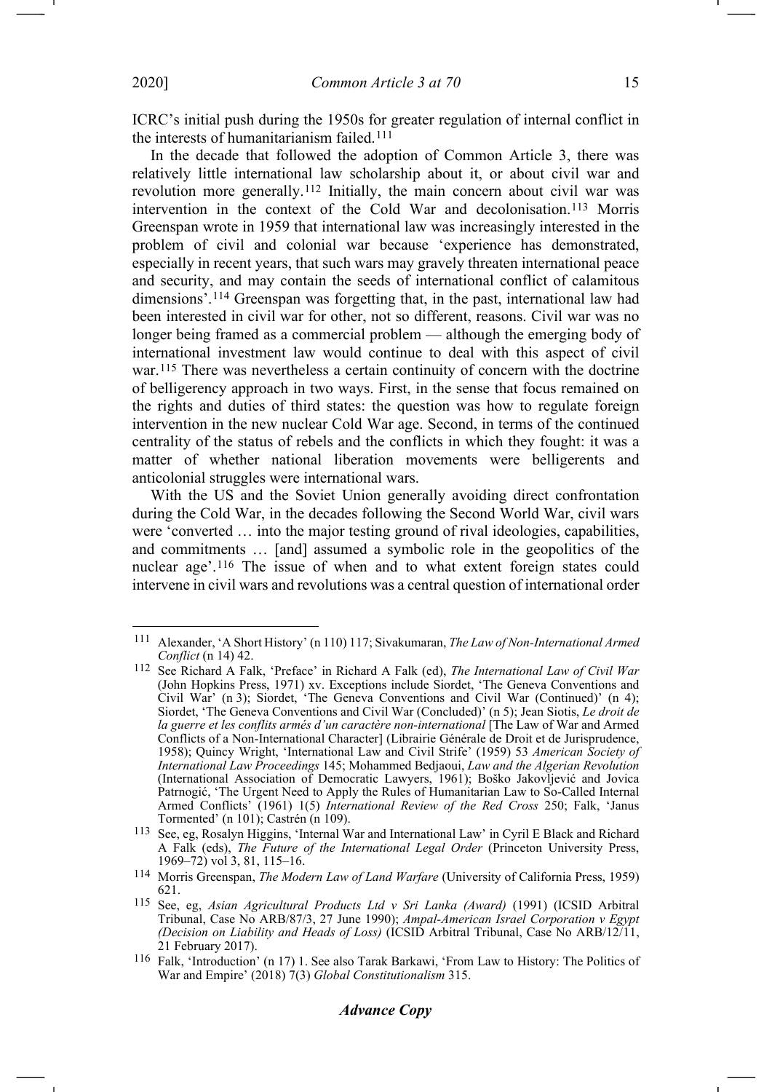ICRC's initial push during the 1950s for greater regulation of internal conflict in the interests of humanitarianism failed.[111](#page-14-0)

<span id="page-14-8"></span><span id="page-14-6"></span>In the decade that followed the adoption of Common Article 3, there was relatively little international law scholarship about it, or about civil war and revolution more generally.[112](#page-14-1) Initially, the main concern about civil war was intervention in the context of the Cold War and decolonisation.[113](#page-14-2) Morris Greenspan wrote in 1959 that international law was increasingly interested in the problem of civil and colonial war because 'experience has demonstrated, especially in recent years, that such wars may gravely threaten international peace and security, and may contain the seeds of international conflict of calamitous dimensions'.<sup>[114](#page-14-3)</sup> Greenspan was forgetting that, in the past, international law had been interested in civil war for other, not so different, reasons. Civil war was no longer being framed as a commercial problem — although the emerging body of international investment law would continue to deal with this aspect of civil war.<sup>[115](#page-14-4)</sup> There was nevertheless a certain continuity of concern with the doctrine of belligerency approach in two ways. First, in the sense that focus remained on the rights and duties of third states: the question was how to regulate foreign intervention in the new nuclear Cold War age. Second, in terms of the continued centrality of the status of rebels and the conflicts in which they fought: it was a matter of whether national liberation movements were belligerents and anticolonial struggles were international wars.

<span id="page-14-9"></span>With the US and the Soviet Union generally avoiding direct confrontation during the Cold War, in the decades following the Second World War, civil wars were 'converted … into the major testing ground of rival ideologies, capabilities, and commitments … [and] assumed a symbolic role in the geopolitics of the nuclear age'.[116](#page-14-5) The issue of when and to what extent foreign states could intervene in civil wars and revolutions was a central question of international order <span id="page-14-7"></span>-1

<span id="page-14-0"></span><sup>111</sup> Alexander, 'A Short History' (n [110\)](#page-13-9) 117; Sivakumaran, *The Law of Non-International Armed Conflict* (n [14\)](#page-2-9) 42.

<span id="page-14-1"></span><sup>112</sup> See Richard A Falk, 'Preface' in Richard A Falk (ed), *The International Law of Civil War*  (John Hopkins Press, 1971) xv. Exceptions include Siordet, 'The Geneva Conventions and Civil War' (n [3\)](#page-1-11); Siordet, 'The Geneva Conventions and Civil War (Continued)' (n [4\)](#page-1-12); Siordet, 'The Geneva Conventions and Civil War (Concluded)' (n [5\)](#page-1-13); Jean Siotis, *Le droit de*  la guerre et les conflits armés d'un caractère non-international [The Law of War and Armed Conflicts of a Non-International Character] (Librairie Générale de Droit et de Jurisprudence, 1958); Quincy Wright, 'International Law and Civil Strife' (1959) 53 *American Society of International Law Proceedings* 145; Mohammed Bedjaoui, *Law and the Algerian Revolution*  (International Association of Democratic Lawyers, 1961); Boško Jakovljević and Jovica Patrnogić, 'The Urgent Need to Apply the Rules of Humanitarian Law to So-Called Internal Armed Conflicts' (1961) 1(5) *International Review of the Red Cross* 250; Falk, 'Janus Tormented' (n [101\)](#page-12-9); Castrén (n [109\)](#page-13-10).

<span id="page-14-2"></span><sup>113</sup> See, eg, Rosalyn Higgins, 'Internal War and International Law' in Cyril E Black and Richard A Falk (eds), *The Future of the International Legal Order* (Princeton University Press, 1969–72) vol 3, 81, 115–16.

<span id="page-14-3"></span><sup>114</sup> Morris Greenspan, *The Modern Law of Land Warfare* (University of California Press, 1959) 621.

<span id="page-14-4"></span><sup>115</sup> See, eg, *Asian Agricultural Products Ltd v Sri Lanka (Award)* (1991) (ICSID Arbitral Tribunal, Case No ARB/87/3, 27 June 1990); *Ampal-American Israel Corporation v Egypt (Decision on Liability and Heads of Loss)* (ICSID Arbitral Tribunal, Case No ARB/12/11, 21 February 2017).

<span id="page-14-5"></span><sup>116</sup> Falk, 'Introduction' (n [17\)](#page-2-12) 1. See also Tarak Barkawi, 'From Law to History: The Politics of War and Empire' (2018) 7(3) *Global Constitutionalism* 315.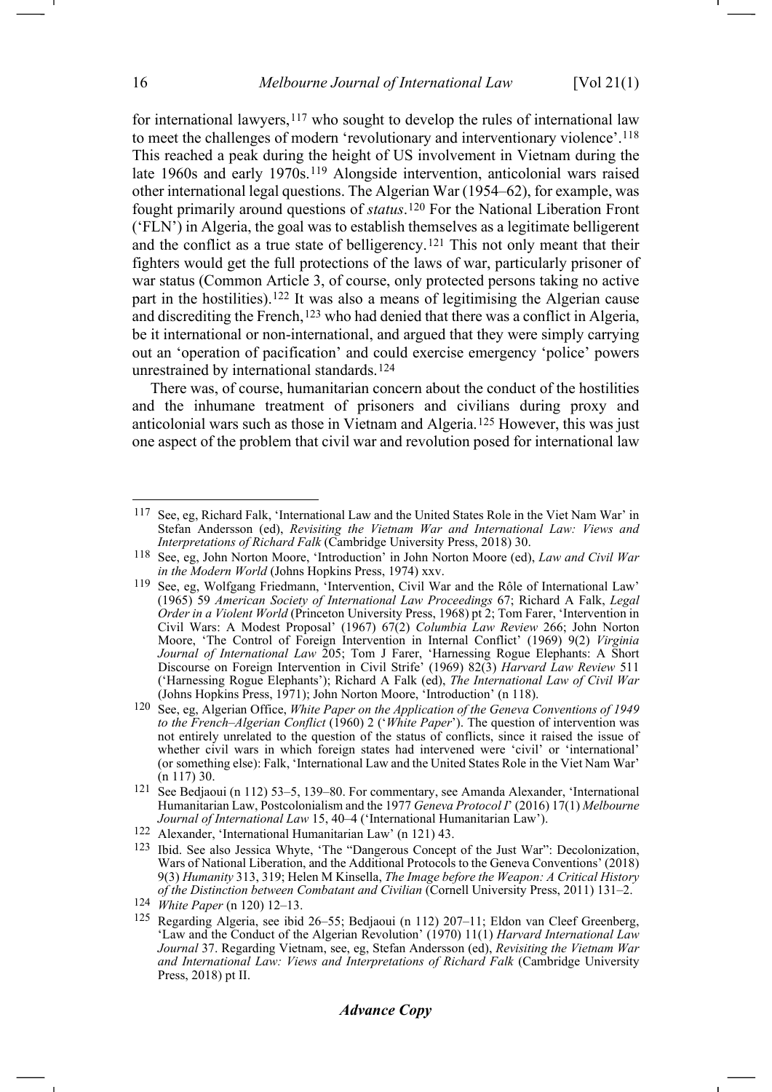<span id="page-15-13"></span><span id="page-15-3"></span><span id="page-15-2"></span><span id="page-15-1"></span><span id="page-15-0"></span>for international lawyers, $117$  who sought to develop the rules of international law to meet the challenges of modern 'revolutionary and interventionary violence'.[118](#page-15-5) This reached a peak during the height of US involvement in Vietnam during the late 1960s and early 1970s.<sup>[119](#page-15-6)</sup> Alongside intervention, anticolonial wars raised other international legal questions. The Algerian War (1954–62), for example, was fought primarily around questions of *status*.[120](#page-15-7) For the National Liberation Front ('FLN') in Algeria, the goal was to establish themselves as a legitimate belligerent and the conflict as a true state of belligerency.[121](#page-15-8) This not only meant that their fighters would get the full protections of the laws of war, particularly prisoner of war status (Common Article 3, of course, only protected persons taking no active part in the hostilities).[122](#page-15-9) It was also a means of legitimising the Algerian cause and discrediting the French,<sup>[123](#page-15-10)</sup> who had denied that there was a conflict in Algeria, be it international or non-international, and argued that they were simply carrying out an 'operation of pacification' and could exercise emergency 'police' powers unrestrained by international standards.[124](#page-15-11)

<span id="page-15-14"></span>There was, of course, humanitarian concern about the conduct of the hostilities and the inhumane treatment of prisoners and civilians during proxy and anticolonial wars such as those in Vietnam and Algeria.[125](#page-15-12) However, this was just one aspect of the problem that civil war and revolution posed for international law

<span id="page-15-4"></span><sup>117</sup> See, eg, Richard Falk, 'International Law and the United States Role in the Viet Nam War' in Stefan Andersson (ed), *Revisiting the Vietnam War and International Law: Views and Interpretations of Richard Falk* (Cambridge University Press, 2018) 30.

<span id="page-15-5"></span><sup>118</sup> See, eg, John Norton Moore, 'Introduction' in John Norton Moore (ed), *Law and Civil War in the Modern World* (Johns Hopkins Press, 1974) xxv.

<span id="page-15-6"></span><sup>119</sup> See, eg, Wolfgang Friedmann, 'Intervention, Civil War and the Rôle of International Law' (1965) 59 *American Society of International Law Proceedings* 67; Richard A Falk, *Legal Order in a Violent World* (Princeton University Press, 1968) pt 2; Tom Farer, 'Intervention in Civil Wars: A Modest Proposal' (1967) 67(2) *Columbia Law Review* 266; John Norton Moore, 'The Control of Foreign Intervention in Internal Conflict' (1969) 9(2) *Virginia Journal of International Law* 205; Tom J Farer, 'Harnessing Rogue Elephants: A Short Discourse on Foreign Intervention in Civil Strife' (1969) 82(3) *Harvard Law Review* 511 ('Harnessing Rogue Elephants'); Richard A Falk (ed), *The International Law of Civil War*  (Johns Hopkins Press, 1971); John Norton Moore, 'Introduction' (n [118\)](#page-15-0).

<span id="page-15-7"></span><sup>120</sup> See, eg, Algerian Office, *White Paper on the Application of the Geneva Conventions of 1949 to the French–Algerian Conflict* (1960) 2 ('*White Paper*'). The question of intervention was not entirely unrelated to the question of the status of conflicts, since it raised the issue of whether civil wars in which foreign states had intervened were 'civil' or 'international' (or something else): Falk, 'International Law and the United States Role in the Viet Nam War' ([n 117\)](#page-15-1) 30.

<span id="page-15-8"></span><sup>121</sup> See Bedjaoui (n [112\)](#page-14-6) 53–5, 139–80. For commentary, see Amanda Alexander, 'International Humanitarian Law, Postcolonialism and the 1977 *Geneva Protocol I*' (2016) 17(1) *Melbourne Journal of International Law* 15, 40–4 ('International Humanitarian Law').

<span id="page-15-9"></span><sup>122</sup> Alexander, 'International Humanitarian Law' (n [121\)](#page-15-2) 43.

<span id="page-15-10"></span><sup>123</sup> Ibid. See also Jessica Whyte, 'The "Dangerous Concept of the Just War": Decolonization, Wars of National Liberation, and the Additional Protocols to the Geneva Conventions' (2018) 9(3) *Humanity* 313, 319; Helen M Kinsella, *The Image before the Weapon: A Critical History of the Distinction between Combatant and Civilian* (Cornell University Press, 2011) 131–2.

<span id="page-15-11"></span><sup>124</sup> *White Paper* (n [120\)](#page-15-3) 12–13.

<span id="page-15-12"></span><sup>125</sup> Regarding Algeria, see ibid 26–55; Bedjaoui (n [112\)](#page-14-6) 207–11; Eldon van Cleef Greenberg, 'Law and the Conduct of the Algerian Revolution' (1970) 11(1) *Harvard International Law Journal* 37. Regarding Vietnam, see, eg, Stefan Andersson (ed), *Revisiting the Vietnam War and International Law: Views and Interpretations of Richard Falk* (Cambridge University Press, 2018) pt II.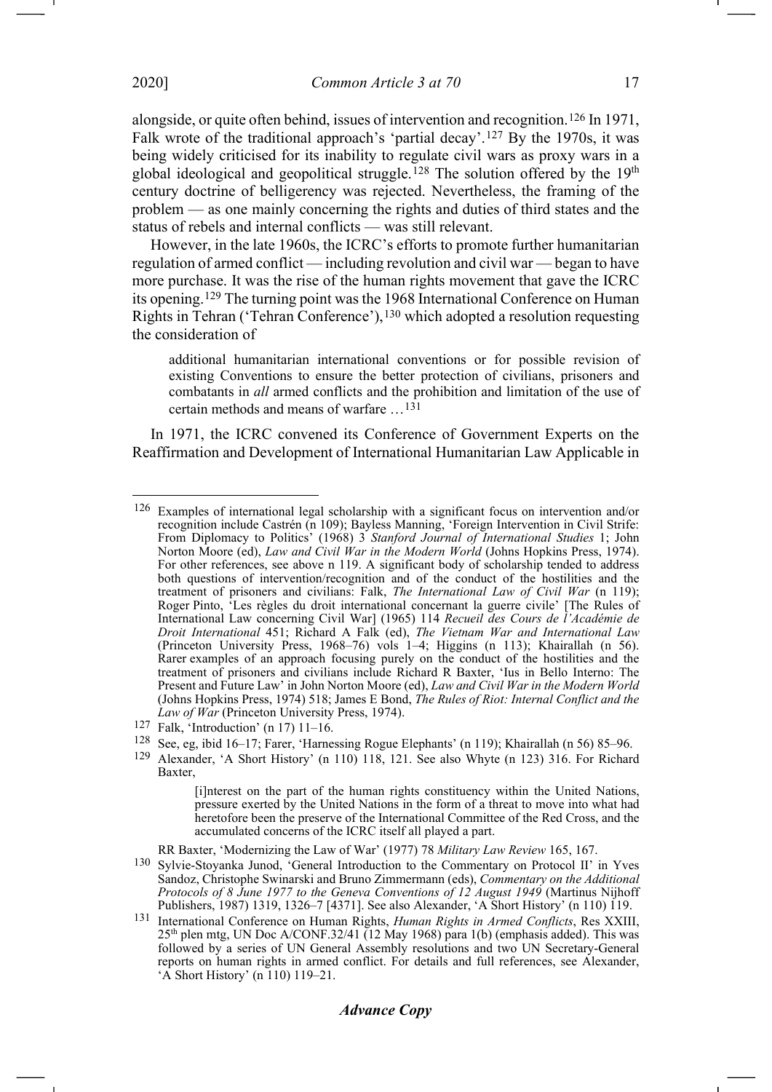alongside, or quite often behind, issues of intervention and recognition.[126](#page-16-0) In 1971, Falk wrote of the traditional approach's 'partial decay'.[127](#page-16-1) By the 1970s, it was being widely criticised for its inability to regulate civil wars as proxy wars in a global ideological and geopolitical struggle.<sup>[128](#page-16-2)</sup> The solution offered by the 19<sup>th</sup> century doctrine of belligerency was rejected. Nevertheless, the framing of the problem — as one mainly concerning the rights and duties of third states and the status of rebels and internal conflicts — was still relevant.

However, in the late 1960s, the ICRC's efforts to promote further humanitarian regulation of armed conflict — including revolution and civil war — began to have more purchase. It was the rise of the human rights movement that gave the ICRC its opening.[129](#page-16-3) The turning point was the 1968 International Conference on Human Rights in Tehran ('Tehran Conference'),[130](#page-16-4) which adopted a resolution requesting the consideration of

<span id="page-16-6"></span>additional humanitarian international conventions or for possible revision of existing Conventions to ensure the better protection of civilians, prisoners and combatants in *all* armed conflicts and the prohibition and limitation of the use of certain methods and means of warfare …[131](#page-16-5)

In 1971, the ICRC convened its Conference of Government Experts on the Reaffirmation and Development of International Humanitarian Law Applicable in

- <span id="page-16-2"></span>128 See, eg, ibid 16–17; Farer, 'Harnessing Rogue Elephants' (n [119\)](#page-15-13); Khairallah (n [56\)](#page-8-6) 85–96.
- <span id="page-16-3"></span>129 Alexander, 'A Short History' (n [110\)](#page-13-9) 118, 121. See also Whyte (n [123\)](#page-15-14) 316. For Richard Baxter,

[i]nterest on the part of the human rights constituency within the United Nations, pressure exerted by the United Nations in the form of a threat to move into what had heretofore been the preserve of the International Committee of the Red Cross, and the accumulated concerns of the ICRC itself all played a part.

RR Baxter, 'Modernizing the Law of War' (1977) 78 *Military Law Review* 165, 167.

<span id="page-16-7"></span>-1

<span id="page-16-0"></span><sup>126</sup> Examples of international legal scholarship with a significant focus on intervention and/or recognition include Castrén (n [109\)](#page-13-10); Bayless Manning, 'Foreign Intervention in Civil Strife: From Diplomacy to Politics' (1968) 3 *Stanford Journal of International Studies* 1; John Norton Moore (ed), *Law and Civil War in the Modern World* (Johns Hopkins Press, 1974). For other references, see above n [119.](#page-15-13) A significant body of scholarship tended to address both questions of intervention/recognition and of the conduct of the hostilities and the treatment of prisoners and civilians: Falk, *The International Law of Civil War* (n [119\)](#page-15-13); Roger Pinto, 'Les règles du droit international concernant la guerre civile' [The Rules of International Law concerning Civil War] (1965) 114 *Recueil des Cours de l'Académie de Droit International* 451; Richard A Falk (ed), *The Vietnam War and International Law* (Princeton University Press, 1968–76) vols 1–4; Higgins (n [113\)](#page-14-7); Khairallah (n [56\)](#page-8-6). Rarer examples of an approach focusing purely on the conduct of the hostilities and the treatment of prisoners and civilians include Richard R Baxter, 'Ius in Bello Interno: The Present and Future Law' in John Norton Moore (ed), *Law and Civil War in the Modern World*  (Johns Hopkins Press, 1974) 518; James E Bond, *The Rules of Riot: Internal Conflict and the Law of War* (Princeton University Press, 1974).

<span id="page-16-1"></span><sup>127</sup> Falk, 'Introduction' (n [17\)](#page-2-12) 11–16.

<span id="page-16-4"></span><sup>130</sup> Sylvie-Stoyanka Junod, 'General Introduction to the Commentary on Protocol II' in Yves Sandoz, Christophe Swinarski and Bruno Zimmermann (eds), *Commentary on the Additional Protocols of 8 June 1977 to the Geneva Conventions of 12 August 1949* (Martinus Nijhoff Publishers, 1987) 1319, 1326–7 [4371]. See also Alexander, 'A Short History' ([n 110\)](#page-13-9) 119.

<span id="page-16-5"></span><sup>131</sup> International Conference on Human Rights, *Human Rights in Armed Conflicts*, Res XXIII,  $25<sup>th</sup>$  plen mtg, UN Doc A/CONF.32/41 (12 May 1968) para 1(b) (emphasis added). This was followed by a series of UN General Assembly resolutions and two UN Secretary-General reports on human rights in armed conflict. For details and full references, see Alexander, 'A Short History' (n [110\)](#page-13-9) 119–21.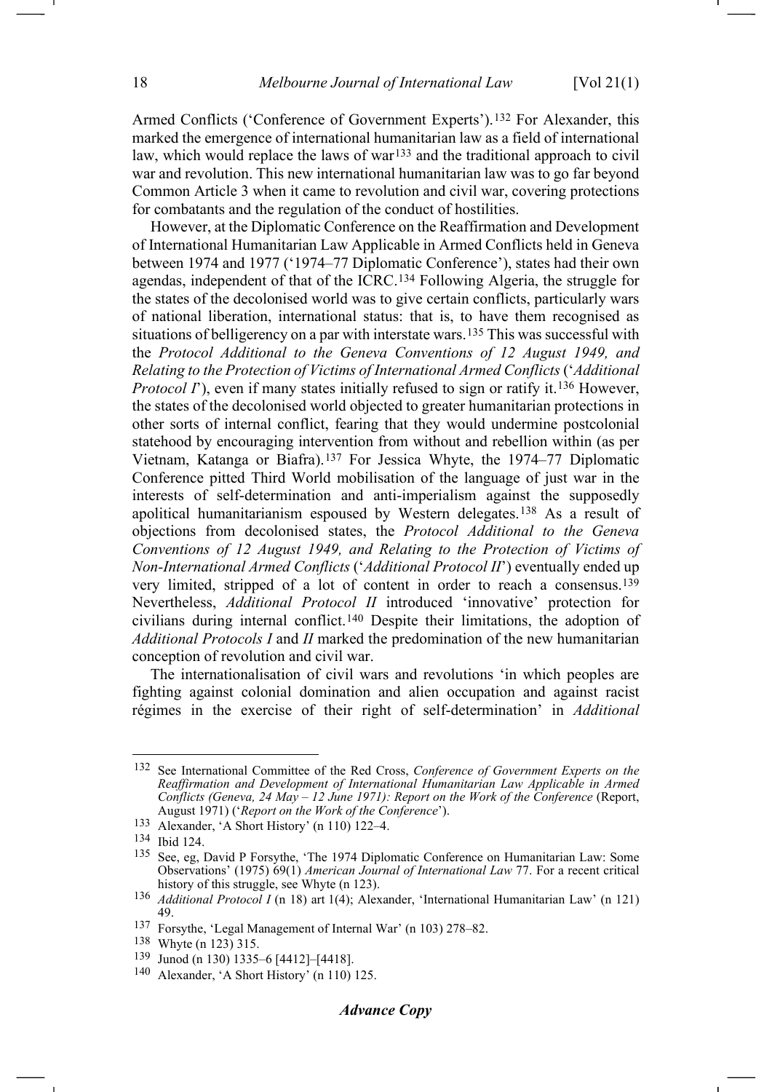<span id="page-17-9"></span>Armed Conflicts ('Conference of Government Experts').[132](#page-17-0) For Alexander, this marked the emergence of international humanitarian law as a field of international law, which would replace the laws of war<sup>[133](#page-17-1)</sup> and the traditional approach to civil war and revolution. This new international humanitarian law was to go far beyond Common Article 3 when it came to revolution and civil war, covering protections for combatants and the regulation of the conduct of hostilities.

However, at the Diplomatic Conference on the Reaffirmation and Development of International Humanitarian Law Applicable in Armed Conflicts held in Geneva between 1974 and 1977 ('1974–77 Diplomatic Conference'), states had their own agendas, independent of that of the ICRC.[134](#page-17-2) Following Algeria, the struggle for the states of the decolonised world was to give certain conflicts, particularly wars of national liberation, international status: that is, to have them recognised as situations of belligerency on a par with interstate wars.[135](#page-17-3) This was successful with the *Protocol Additional to the Geneva Conventions of 12 August 1949, and Relating to the Protection of Victims of International Armed Conflicts* ('*Additional Protocol I*'), even if many states initially refused to sign or ratify it.<sup>[136](#page-17-4)</sup> However, the states of the decolonised world objected to greater humanitarian protections in other sorts of internal conflict, fearing that they would undermine postcolonial statehood by encouraging intervention from without and rebellion within (as per Vietnam, Katanga or Biafra).[137](#page-17-5) For Jessica Whyte, the 1974–77 Diplomatic Conference pitted Third World mobilisation of the language of just war in the interests of self-determination and anti-imperialism against the supposedly apolitical humanitarianism espoused by Western delegates.[138](#page-17-6) As a result of objections from decolonised states, the *Protocol Additional to the Geneva Conventions of 12 August 1949, and Relating to the Protection of Victims of Non-International Armed Conflicts* ('*Additional Protocol II*') eventually ended up very limited, stripped of a lot of content in order to reach a consensus[.139](#page-17-7) Nevertheless, *Additional Protocol II* introduced 'innovative' protection for civilians during internal conflict.[140](#page-17-8) Despite their limitations, the adoption of *Additional Protocols I* and *II* marked the predomination of the new humanitarian conception of revolution and civil war.

<span id="page-17-10"></span>The internationalisation of civil wars and revolutions 'in which peoples are fighting against colonial domination and alien occupation and against racist régimes in the exercise of their right of self-determination' in *Additional* 

<span id="page-17-0"></span><sup>132</sup> See International Committee of the Red Cross, *Conference of Government Experts on the Reaffirmation and Development of International Humanitarian Law Applicable in Armed Conflicts (Geneva, 24 May – 12 June 1971): Report on the Work of the Conference* (Report, August 1971) ('*Report on the Work of the Conference*').

<span id="page-17-1"></span><sup>133</sup> Alexander, 'A Short History' (n [110\)](#page-13-9) 122–4.

<span id="page-17-2"></span><sup>134</sup> Ibid 124.

<span id="page-17-3"></span><sup>135</sup> See, eg, David P Forsythe, 'The 1974 Diplomatic Conference on Humanitarian Law: Some Observations' (1975) 69(1) *American Journal of International Law* 77. For a recent critical history of this struggle, see Whyte (n [123\)](#page-15-14).

<span id="page-17-4"></span><sup>136</sup> *Additional Protocol I* (n [18\)](#page-2-13) art 1(4); Alexander, 'International Humanitarian Law' (n [121\)](#page-15-2) 49.

<span id="page-17-5"></span><sup>137</sup> Forsythe, 'Legal Management of Internal War' (n [103\)](#page-13-11) 278–82.

<span id="page-17-6"></span><sup>138</sup> Whyte (n [123\)](#page-15-14) 315.

<span id="page-17-7"></span><sup>139</sup> Junod (n [130\)](#page-16-6) 1335–6 [4412]–[4418].

<span id="page-17-8"></span><sup>140</sup> Alexander, 'A Short History' (n [110\)](#page-13-9) 125.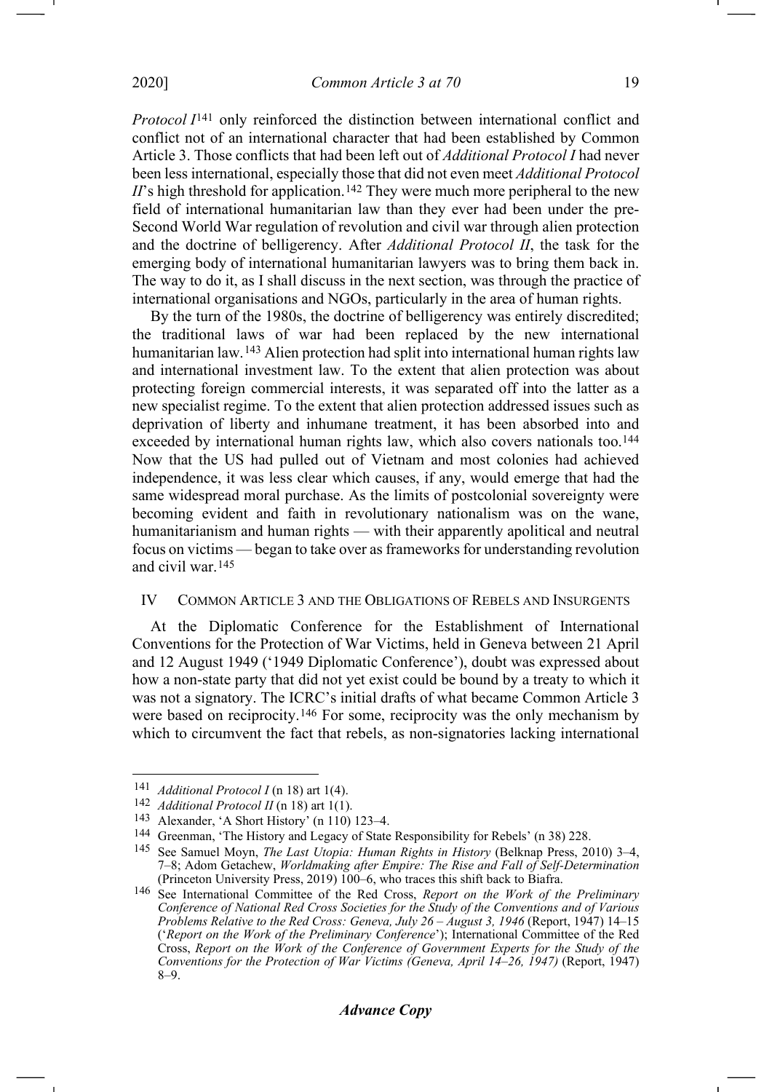*Protocol I*[141](#page-18-0) only reinforced the distinction between international conflict and conflict not of an international character that had been established by Common Article 3. Those conflicts that had been left out of *Additional Protocol I* had never been less international, especially those that did not even meet *Additional Protocol*   $I\!I$ 's high threshold for application.<sup>[142](#page-18-1)</sup> They were much more peripheral to the new field of international humanitarian law than they ever had been under the pre-Second World War regulation of revolution and civil war through alien protection and the doctrine of belligerency. After *Additional Protocol II*, the task for the emerging body of international humanitarian lawyers was to bring them back in. The way to do it, as I shall discuss in the next section, was through the practice of international organisations and NGOs, particularly in the area of human rights.

By the turn of the 1980s, the doctrine of belligerency was entirely discredited; the traditional laws of war had been replaced by the new international humanitarian law.[143](#page-18-2) Alien protection had split into international human rights law and international investment law. To the extent that alien protection was about protecting foreign commercial interests, it was separated off into the latter as a new specialist regime. To the extent that alien protection addressed issues such as deprivation of liberty and inhumane treatment, it has been absorbed into and exceeded by international human rights law, which also covers nationals too.<sup>[144](#page-18-3)</sup> Now that the US had pulled out of Vietnam and most colonies had achieved independence, it was less clear which causes, if any, would emerge that had the same widespread moral purchase. As the limits of postcolonial sovereignty were becoming evident and faith in revolutionary nationalism was on the wane, humanitarianism and human rights — with their apparently apolitical and neutral focus on victims — began to take over as frameworks for understanding revolution and civil war.[145](#page-18-4)

#### IV COMMON ARTICLE 3 AND THE OBLIGATIONS OF REBELS AND INSURGENTS

At the Diplomatic Conference for the Establishment of International Conventions for the Protection of War Victims, held in Geneva between 21 April and 12 August 1949 ('1949 Diplomatic Conference'), doubt was expressed about how a non-state party that did not yet exist could be bound by a treaty to which it was not a signatory. The ICRC's initial drafts of what became Common Article 3 were based on reciprocity.[146](#page-18-5) For some, reciprocity was the only mechanism by which to circumvent the fact that rebels, as non-signatories lacking international

<span id="page-18-6"></span><span id="page-18-0"></span><sup>141</sup> *Additional Protocol I* (n [18\)](#page-2-13) art 1(4).

<span id="page-18-1"></span><sup>142</sup> *Additional Protocol II* (n [18\)](#page-2-13) art 1(1).

<span id="page-18-2"></span><sup>143</sup> Alexander, 'A Short History' (n [110\)](#page-13-9) 123–4.

<span id="page-18-4"></span><span id="page-18-3"></span><sup>144</sup> Greenman, 'The History and Legacy of State Responsibility for Rebels' (n [38\)](#page-5-8) 228.

<sup>145</sup> See Samuel Moyn, *The Last Utopia: Human Rights in History* (Belknap Press, 2010) 3–4, 7–8; Adom Getachew, *Worldmaking after Empire: The Rise and Fall of Self-Determination* (Princeton University Press, 2019) 100–6, who traces this shift back to Biafra.

<span id="page-18-5"></span><sup>146</sup> See International Committee of the Red Cross, *Report on the Work of the Preliminary Conference of National Red Cross Societies for the Study of the Conventions and of Various Problems Relative to the Red Cross: Geneva, July 26 – August 3, 1946* (Report, 1947) 14–15 ('*Report on the Work of the Preliminary Conference*'); International Committee of the Red Cross, *Report on the Work of the Conference of Government Experts for the Study of the Conventions for the Protection of War Victims (Geneva, April 14–26, 1947)* (Report, 1947) 8–9.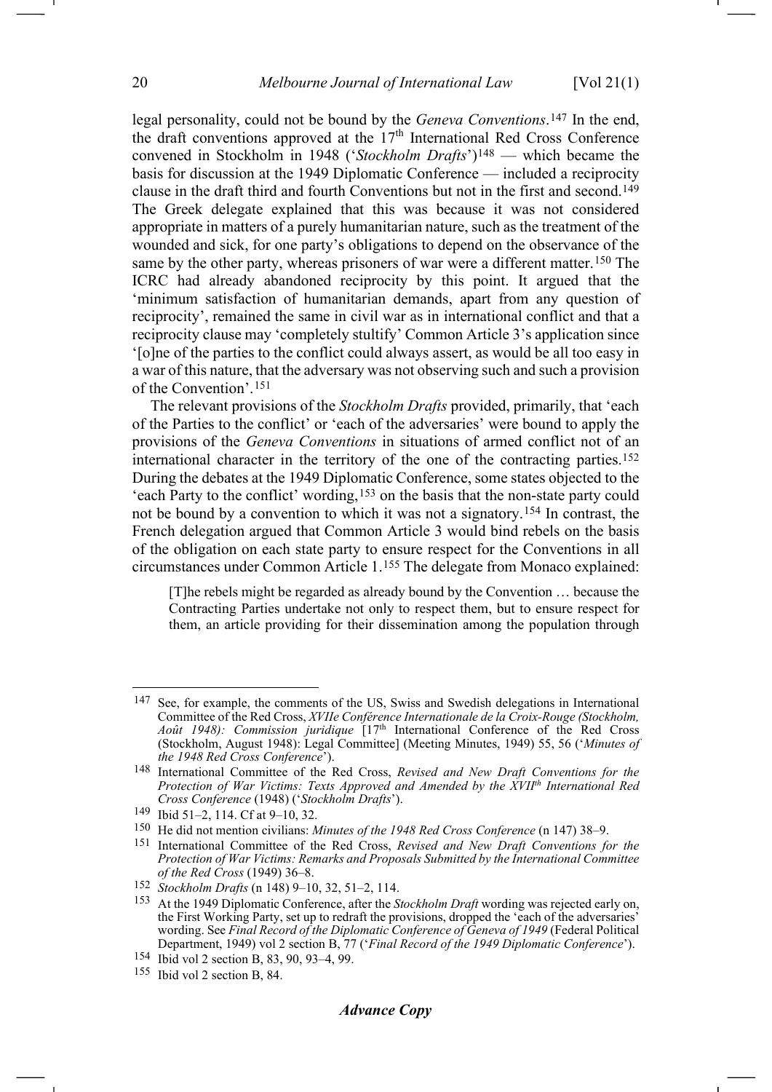<span id="page-19-1"></span><span id="page-19-0"></span>legal personality, could not be bound by the *Geneva Conventions*.[147](#page-19-2) In the end, the draft conventions approved at the  $17<sup>th</sup>$  International Red Cross Conference convened in Stockholm in 1948 ('*Stockholm Drafts*')[148](#page-19-3) — which became the basis for discussion at the 1949 Diplomatic Conference — included a reciprocity clause in the draft third and fourth Conventions but not in the first and second.[149](#page-19-4) The Greek delegate explained that this was because it was not considered appropriate in matters of a purely humanitarian nature, such as the treatment of the wounded and sick, for one party's obligations to depend on the observance of the same by the other party, whereas prisoners of war were a different matter.<sup>[150](#page-19-5)</sup> The ICRC had already abandoned reciprocity by this point. It argued that the 'minimum satisfaction of humanitarian demands, apart from any question of reciprocity', remained the same in civil war as in international conflict and that a reciprocity clause may 'completely stultify' Common Article 3's application since '[o]ne of the parties to the conflict could always assert, as would be all too easy in a war of this nature, that the adversary was not observing such and such a provision of the Convention'.[151](#page-19-6)

The relevant provisions of the *Stockholm Drafts* provided, primarily, that 'each of the Parties to the conflict' or 'each of the adversaries' were bound to apply the provisions of the *Geneva Conventions* in situations of armed conflict not of an international character in the territory of the one of the contracting parties[.152](#page-19-7) During the debates at the 1949 Diplomatic Conference, some states objected to the 'each Party to the conflict' wording,<sup>[153](#page-19-8)</sup> on the basis that the non-state party could not be bound by a convention to which it was not a signatory.[154](#page-19-9) In contrast, the French delegation argued that Common Article 3 would bind rebels on the basis of the obligation on each state party to ensure respect for the Conventions in all circumstances under Common Article 1.[155](#page-19-10) The delegate from Monaco explained:

<span id="page-19-11"></span>[T]he rebels might be regarded as already bound by the Convention … because the Contracting Parties undertake not only to respect them, but to ensure respect for them, an article providing for their dissemination among the population through

<span id="page-19-2"></span><sup>147</sup> See, for example, the comments of the US, Swiss and Swedish delegations in International Committee of the Red Cross, *XVIIe Conférence Internationale de la Croix-Rouge (Stockholm, Août 1948): Commission juridique* [17th International Conference of the Red Cross (Stockholm, August 1948): Legal Committee] (Meeting Minutes, 1949) 55, 56 ('*Minutes of the 1948 Red Cross Conference*').

<span id="page-19-3"></span><sup>148</sup> International Committee of the Red Cross, *Revised and New Draft Conventions for the Protection of War Victims: Texts Approved and Amended by the XVIIth International Red Cross Conference* (1948) ('*Stockholm Drafts*').

<span id="page-19-4"></span><sup>149</sup> Ibid 51–2, 114. Cf at 9–10, 32.

<span id="page-19-5"></span><sup>150</sup> He did not mention civilians: *Minutes of the 1948 Red Cross Conference* ([n 147\)](#page-19-0) 38–9.

<span id="page-19-6"></span><sup>151</sup> International Committee of the Red Cross, *Revised and New Draft Conventions for the Protection of War Victims: Remarks and Proposals Submitted by the International Committee of the Red Cross* (1949) 36–8.

<span id="page-19-7"></span><sup>152</sup> *Stockholm Drafts* (n [148\)](#page-19-1) 9–10, 32, 51–2, 114.

<span id="page-19-8"></span><sup>153</sup> At the 1949 Diplomatic Conference, after the *Stockholm Draft* wording was rejected early on, the First Working Party, set up to redraft the provisions, dropped the 'each of the adversaries' wording. See *Final Record of the Diplomatic Conference of Geneva of 1949* (Federal Political Department, 1949) vol 2 section B, 77 ('*Final Record of the 1949 Diplomatic Conference*').

<span id="page-19-9"></span><sup>154</sup> Ibid vol 2 section B, 83, 90, 93–4, 99.

<span id="page-19-10"></span><sup>155</sup> Ibid vol 2 section B, 84.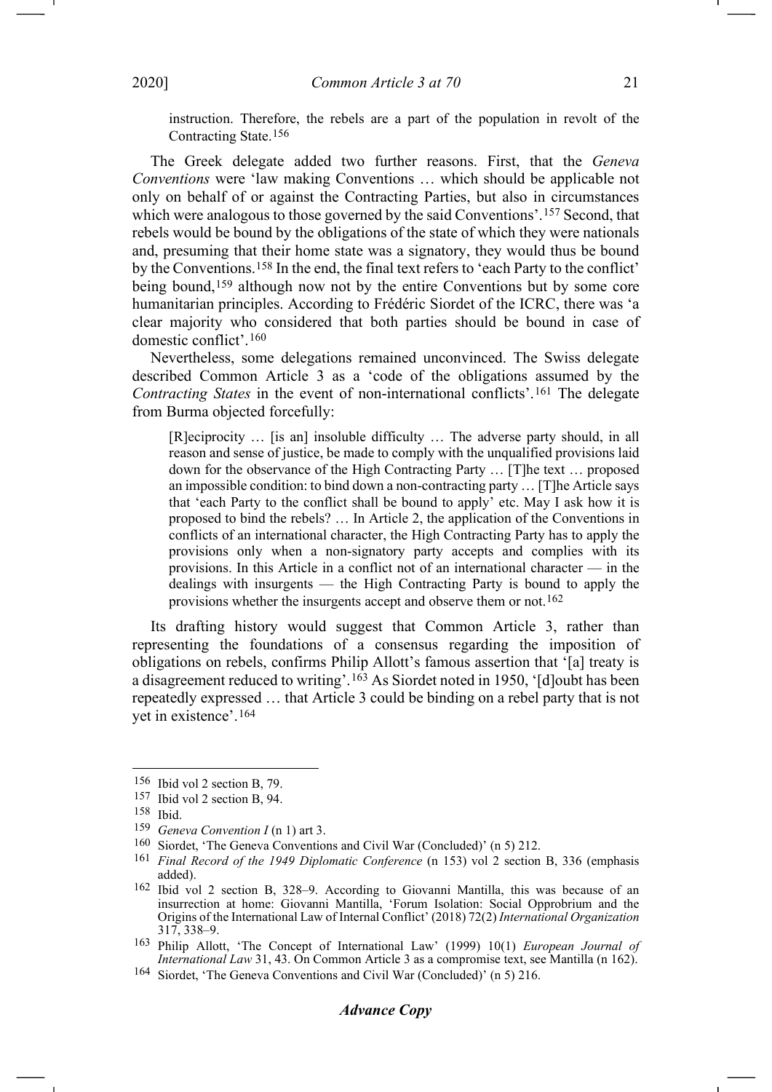instruction. Therefore, the rebels are a part of the population in revolt of the Contracting State.[156](#page-20-1)

The Greek delegate added two further reasons. First, that the *Geneva Conventions* were 'law making Conventions … which should be applicable not only on behalf of or against the Contracting Parties, but also in circumstances which were analogous to those governed by the said Conventions'.<sup>[157](#page-20-2)</sup> Second, that rebels would be bound by the obligations of the state of which they were nationals and, presuming that their home state was a signatory, they would thus be bound by the Conventions.[158](#page-20-3) In the end, the final text refers to 'each Party to the conflict' being bound,<sup>[159](#page-20-4)</sup> although now not by the entire Conventions but by some core humanitarian principles. According to Frédéric Siordet of the ICRC, there was 'a clear majority who considered that both parties should be bound in case of domestic conflict'.[160](#page-20-5)

Nevertheless, some delegations remained unconvinced. The Swiss delegate described Common Article 3 as a 'code of the obligations assumed by the *Contracting States* in the event of non-international conflicts'.[161](#page-20-6) The delegate from Burma objected forcefully:

<span id="page-20-0"></span>[R]eciprocity … [is an] insoluble difficulty … The adverse party should, in all reason and sense of justice, be made to comply with the unqualified provisions laid down for the observance of the High Contracting Party … [T]he text … proposed an impossible condition: to bind down a non-contracting party … [T]he Article says that 'each Party to the conflict shall be bound to apply' etc. May I ask how it is proposed to bind the rebels? … In Article 2, the application of the Conventions in conflicts of an international character, the High Contracting Party has to apply the provisions only when a non-signatory party accepts and complies with its provisions. In this Article in a conflict not of an international character — in the dealings with insurgents — the High Contracting Party is bound to apply the provisions whether the insurgents accept and observe them or not.<sup>[162](#page-20-7)</sup>

Its drafting history would suggest that Common Article 3, rather than representing the foundations of a consensus regarding the imposition of obligations on rebels, confirms Philip Allott's famous assertion that '[a] treaty is a disagreement reduced to writing'.[163](#page-20-8) As Siordet noted in 1950, '[d]oubt has been repeatedly expressed … that Article 3 could be binding on a rebel party that is not yet in existence'.[164](#page-20-9)

<span id="page-20-1"></span><sup>156</sup> Ibid vol 2 section B, 79.

<span id="page-20-2"></span><sup>157</sup> Ibid vol 2 section B, 94. 158 Ibid.

<span id="page-20-4"></span><span id="page-20-3"></span><sup>159</sup> *Geneva Convention I* (n [1\)](#page-1-0) art 3.

<span id="page-20-5"></span><sup>160</sup> Siordet, 'The Geneva Conventions and Civil War (Concluded)' (n [5\)](#page-1-13) 212.

<span id="page-20-6"></span><sup>161</sup> *Final Record of the 1949 Diplomatic Conference* (n [153\)](#page-19-11) vol 2 section B, 336 (emphasis added).

<span id="page-20-7"></span><sup>162</sup> Ibid vol 2 section B, 328–9. According to Giovanni Mantilla, this was because of an insurrection at home: Giovanni Mantilla, 'Forum Isolation: Social Opprobrium and the Origins of the International Law of Internal Conflict' (2018) 72(2) *International Organization*  317, 338–9.

<span id="page-20-8"></span><sup>163</sup> Philip Allott, 'The Concept of International Law' (1999) 10(1) *European Journal of International Law* 31, 43. On Common Article 3 as a compromise text, see Mantilla (n [162\)](#page-20-0).

<span id="page-20-9"></span><sup>164</sup> Siordet, 'The Geneva Conventions and Civil War (Concluded)' (n [5\)](#page-1-13) 216.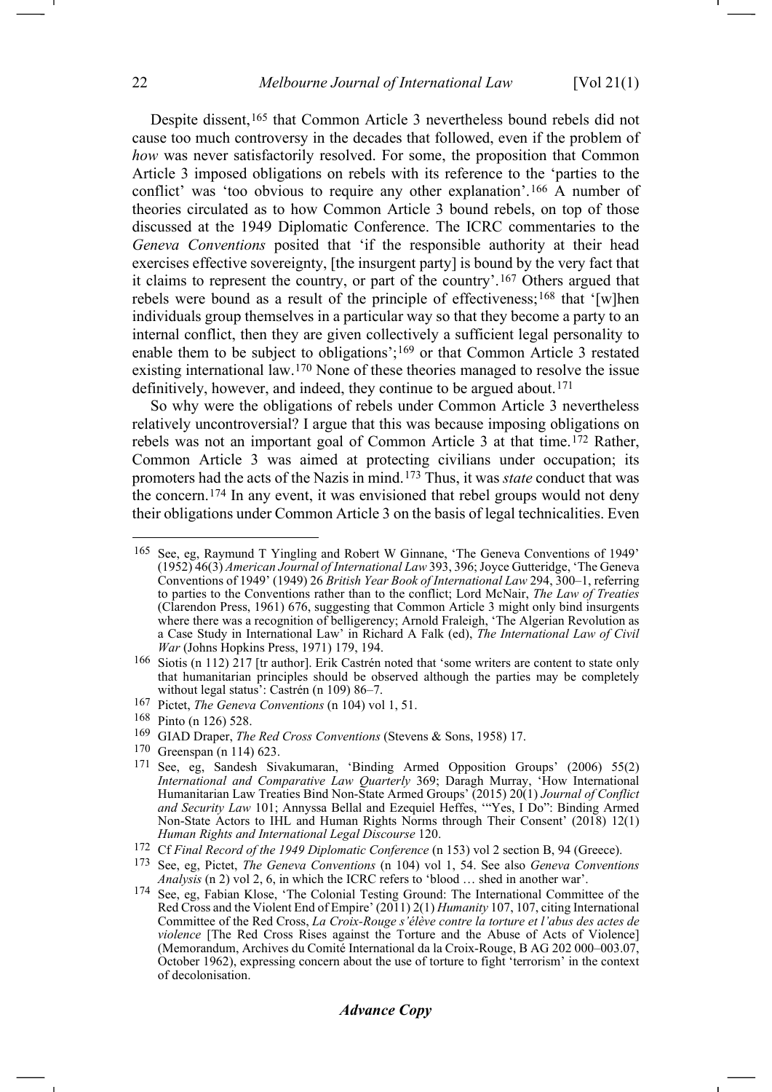<span id="page-21-10"></span>Despite dissent,<sup>[165](#page-21-0)</sup> that Common Article 3 nevertheless bound rebels did not cause too much controversy in the decades that followed, even if the problem of *how* was never satisfactorily resolved. For some, the proposition that Common Article 3 imposed obligations on rebels with its reference to the 'parties to the conflict' was 'too obvious to require any other explanation'.[166](#page-21-1) A number of theories circulated as to how Common Article 3 bound rebels, on top of those discussed at the 1949 Diplomatic Conference. The ICRC commentaries to the *Geneva Conventions* posited that 'if the responsible authority at their head exercises effective sovereignty, [the insurgent party] is bound by the very fact that it claims to represent the country, or part of the country'.[167](#page-21-2) Others argued that rebels were bound as a result of the principle of effectiveness;[168](#page-21-3) that '[w]hen individuals group themselves in a particular way so that they become a party to an internal conflict, then they are given collectively a sufficient legal personality to enable them to be subject to obligations';[169](#page-21-4) or that Common Article 3 restated existing international law.[170](#page-21-5) None of these theories managed to resolve the issue definitively, however, and indeed, they continue to be argued about.<sup>[171](#page-21-6)</sup>

So why were the obligations of rebels under Common Article 3 nevertheless relatively uncontroversial? I argue that this was because imposing obligations on rebels was not an important goal of Common Article 3 at that time.[172](#page-21-7) Rather, Common Article 3 was aimed at protecting civilians under occupation; its promoters had the acts of the Nazis in mind.[173](#page-21-8) Thus, it was *state* conduct that was the concern.[174](#page-21-9) In any event, it was envisioned that rebel groups would not deny their obligations under Common Article 3 on the basis of legal technicalities. Even

<span id="page-21-5"></span> $\frac{170}{171}$  Greenspan (n [114\)](#page-14-8) 623.

# *Advance Copy*

<span id="page-21-0"></span><sup>&</sup>lt;sup>165</sup> See, eg, Raymund T Yingling and Robert W Ginnane, 'The Geneva Conventions of 1949' (1952) 46(3) *American Journal of International Law* 393, 396; Joyce Gutteridge, 'The Geneva Conventions of 1949' (1949) 26 *British Year Book of International Law* 294, 300–1, referring to parties to the Conventions rather than to the conflict; Lord McNair, *The Law of Treaties* (Clarendon Press, 1961) 676, suggesting that Common Article 3 might only bind insurgents where there was a recognition of belligerency; Arnold Fraleigh, 'The Algerian Revolution as a Case Study in International Law' in Richard A Falk (ed), *The International Law of Civil War* (Johns Hopkins Press, 1971) 179, 194.

<span id="page-21-1"></span><sup>166</sup> Siotis (n [112\)](#page-14-6) 217 [tr author]. Erik Castrén noted that 'some writers are content to state only that humanitarian principles should be observed although the parties may be completely without legal status': Castrén (n [109\)](#page-13-10) 86-7.

<span id="page-21-2"></span><sup>167</sup> Pictet, *The Geneva Conventions* (n [104\)](#page-13-12) vol 1, 51.

<span id="page-21-3"></span><sup>168</sup> Pinto (n [126\)](#page-16-7) 528.

<span id="page-21-4"></span><sup>169</sup> GIAD Draper, *The Red Cross Conventions* (Stevens & Sons, 1958) 17.

<span id="page-21-6"></span>See, eg, Sandesh Sivakumaran, 'Binding Armed Opposition Groups' (2006) 55(2) *International and Comparative Law Quarterly* 369; Daragh Murray, 'How International Humanitarian Law Treaties Bind Non-State Armed Groups' (2015) 20(1) *Journal of Conflict and Security Law* 101; Annyssa Bellal and Ezequiel Heffes, '"Yes, I Do": Binding Armed Non-State Actors to IHL and Human Rights Norms through Their Consent' (2018) 12(1) *Human Rights and International Legal Discourse* 120.<br><sup>172</sup> Cf *Final Record of the 1949 Diplomatic Conference* (n 153) vol 2 section B, 94 (Greece).

<span id="page-21-7"></span>

<span id="page-21-8"></span><sup>&</sup>lt;sup>173</sup> See, eg, Pictet, *The Geneva Conventions* (n [104\)](#page-13-12) vol 1, 54. See also *Geneva Conventions Analysis* (n [2\)](#page-1-1) vol 2, 6, in which the ICRC refers to 'blood … shed in another war'.

<span id="page-21-9"></span><sup>174</sup> See, eg, Fabian Klose, 'The Colonial Testing Ground: The International Committee of the Red Cross and the Violent End of Empire' (2011) 2(1) *Humanity* 107, 107, citing International Committee of the Red Cross, *La Croix-Rouge s'élève contre la torture et l'abus des actes de violence* [The Red Cross Rises against the Torture and the Abuse of Acts of Violence] (Memorandum, Archives du Comité International da la Croix-Rouge, B AG 202 000–003.07, October 1962), expressing concern about the use of torture to fight 'terrorism' in the context of decolonisation.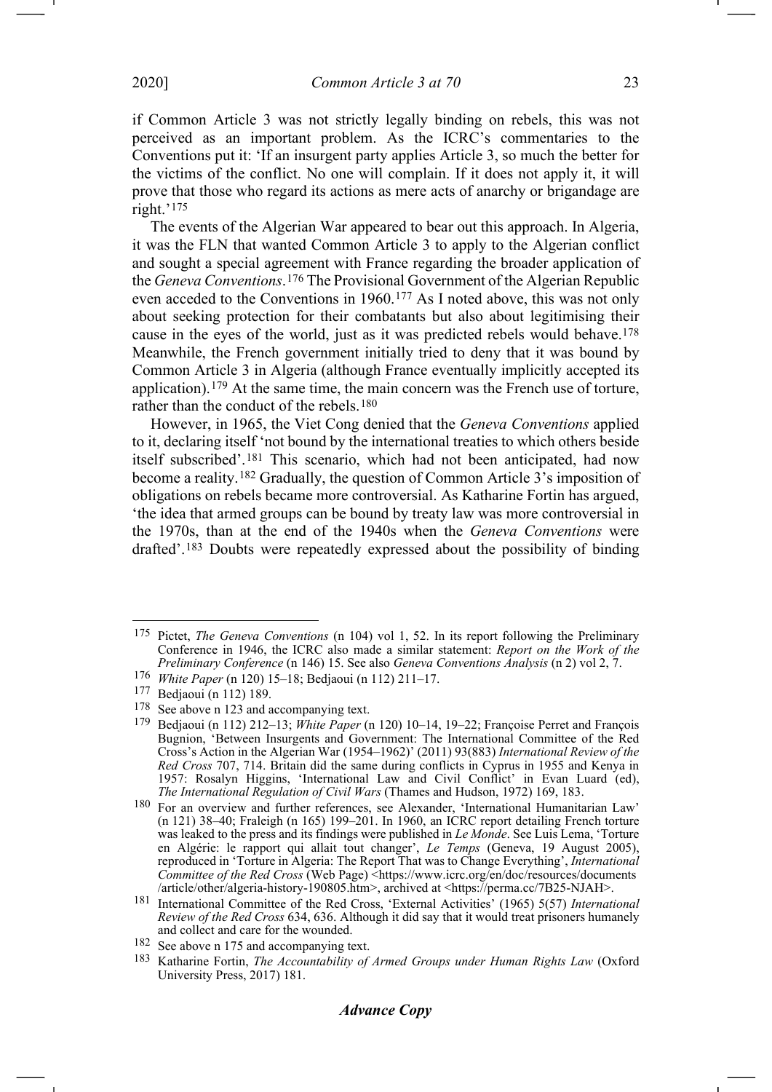if Common Article 3 was not strictly legally binding on rebels, this was not perceived as an important problem. As the ICRC's commentaries to the Conventions put it: 'If an insurgent party applies Article 3, so much the better for the victims of the conflict. No one will complain. If it does not apply it, it will prove that those who regard its actions as mere acts of anarchy or brigandage are right.'[175](#page-22-1)

<span id="page-22-0"></span>The events of the Algerian War appeared to bear out this approach. In Algeria, it was the FLN that wanted Common Article 3 to apply to the Algerian conflict and sought a special agreement with France regarding the broader application of the *Geneva Conventions*.[176](#page-22-2) The Provisional Government of the Algerian Republic even acceded to the Conventions in 1960.[177](#page-22-3) As I noted above, this was not only about seeking protection for their combatants but also about legitimising their cause in the eyes of the world, just as it was predicted rebels would behave.[178](#page-22-4) Meanwhile, the French government initially tried to deny that it was bound by Common Article 3 in Algeria (although France eventually implicitly accepted its application).[179](#page-22-5) At the same time, the main concern was the French use of torture, rather than the conduct of the rebels.[180](#page-22-6)

However, in 1965, the Viet Cong denied that the *Geneva Conventions* applied to it, declaring itself 'not bound by the international treaties to which others beside itself subscribed'.[181](#page-22-7) This scenario, which had not been anticipated, had now become a reality.[182](#page-22-8) Gradually, the question of Common Article 3's imposition of obligations on rebels became more controversial. As Katharine Fortin has argued, 'the idea that armed groups can be bound by treaty law was more controversial in the 1970s, than at the end of the 1940s when the *Geneva Conventions* were drafted'.[183](#page-22-9) Doubts were repeatedly expressed about the possibility of binding

<span id="page-22-10"></span><span id="page-22-1"></span><sup>175</sup> Pictet, *The Geneva Conventions* (n [104\)](#page-13-12) vol 1, 52. In its report following the Preliminary Conference in 1946, the ICRC also made a similar statement: *Report on the Work of the Preliminary Conference* (n [146\)](#page-18-6) 15. See also *Geneva Conventions Analysis* (n [2\)](#page-1-1) vol 2, 7.

<span id="page-22-2"></span><sup>176</sup> *White Paper* (n [120\)](#page-15-3) 15–18; Bedjaoui (n [112\)](#page-14-6) 211–17.

<span id="page-22-3"></span><sup>177</sup> Bedjaoui (n [112\)](#page-14-6) 189.

<span id="page-22-4"></span><sup>178</sup> See above n [123](#page-15-14) and accompanying text.

<span id="page-22-5"></span><sup>179</sup> Bedjaoui (n [112\)](#page-14-6) 212–13; *White Paper* (n [120\)](#page-15-3) 10–14, 19–22; Françoise Perret and François Bugnion, 'Between Insurgents and Government: The International Committee of the Red Cross's Action in the Algerian War (1954–1962)' (2011) 93(883) *International Review of the Red Cross* 707, 714. Britain did the same during conflicts in Cyprus in 1955 and Kenya in 1957: Rosalyn Higgins, 'International Law and Civil Conflict' in Evan Luard (ed), *The International Regulation of Civil Wars* (Thames and Hudson, 1972) 169, 183.

<span id="page-22-6"></span><sup>180</sup> For an overview and further references, see Alexander, 'International Humanitarian Law' (n [121\)](#page-15-2) 38–40; Fraleigh (n [165\)](#page-21-10) 199–201. In 1960, an ICRC report detailing French torture was leaked to the press and its findings were published in *Le Monde*. See Luis Lema, 'Torture en Algérie: le rapport qui allait tout changer', *Le Temps* (Geneva, 19 August 2005), reproduced in 'Torture in Algeria: The Report That was to Change Everything', *International Committee of the Red Cross* (Web Page) <https://www.icrc.org/en/doc/resources/documents<br>/article/other/algeria-history-190805.htm>, archived at <https://perma.cc/7B25-NJAH>.

<span id="page-22-7"></span><sup>&</sup>lt;sup>181</sup> International Committee of the Red Cross, 'External Activities' (1965) 5(57) *International Review of the Red Cross* 634, 636. Although it did say that it would treat prisoners humanely and collect and care for the wounded.

<span id="page-22-8"></span><sup>182</sup> See above [n 175](#page-22-0) and accompanying text.

<span id="page-22-9"></span><sup>183</sup> Katharine Fortin, *The Accountability of Armed Groups under Human Rights Law* (Oxford University Press, 2017) 181.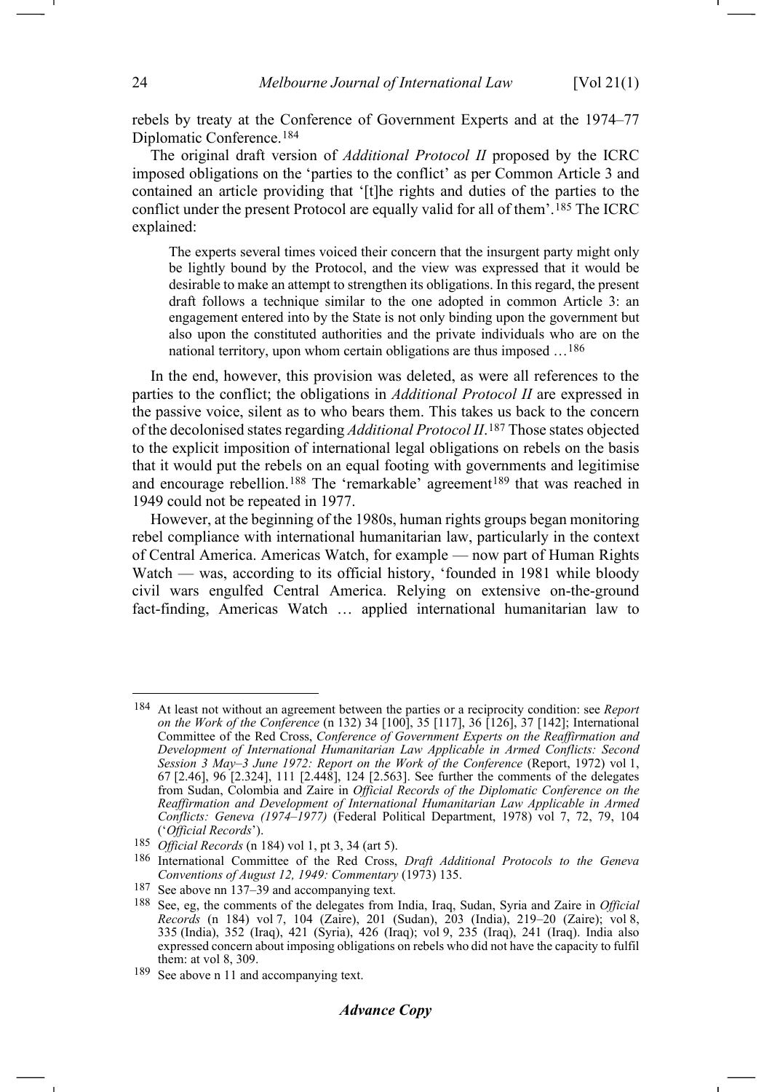<span id="page-23-0"></span>rebels by treaty at the Conference of Government Experts and at the 1974–77 Diplomatic Conference.[184](#page-23-1)

The original draft version of *Additional Protocol II* proposed by the ICRC imposed obligations on the 'parties to the conflict' as per Common Article 3 and contained an article providing that '[t]he rights and duties of the parties to the conflict under the present Protocol are equally valid for all of them'.[185](#page-23-2) The ICRC explained:

The experts several times voiced their concern that the insurgent party might only be lightly bound by the Protocol, and the view was expressed that it would be desirable to make an attempt to strengthen its obligations. In this regard, the present draft follows a technique similar to the one adopted in common Article 3: an engagement entered into by the State is not only binding upon the government but also upon the constituted authorities and the private individuals who are on the national territory, upon whom certain obligations are thus imposed …[186](#page-23-3)

In the end, however, this provision was deleted, as were all references to the parties to the conflict; the obligations in *Additional Protocol II* are expressed in the passive voice, silent as to who bears them. This takes us back to the concern of the decolonised states regarding *Additional Protocol II*.[187](#page-23-4) Those states objected to the explicit imposition of international legal obligations on rebels on the basis that it would put the rebels on an equal footing with governments and legitimise and encourage rebellion.<sup>[188](#page-23-5)</sup> The 'remarkable' agreement<sup>[189](#page-23-6)</sup> that was reached in 1949 could not be repeated in 1977.

However, at the beginning of the 1980s, human rights groups began monitoring rebel compliance with international humanitarian law, particularly in the context of Central America. Americas Watch, for example — now part of Human Rights Watch — was, according to its official history, 'founded in 1981 while bloody civil wars engulfed Central America. Relying on extensive on-the-ground fact-finding, Americas Watch … applied international humanitarian law to

<span id="page-23-1"></span><sup>184</sup> At least not without an agreement between the parties or a reciprocity condition: see *Report on the Work of the Conference* (n [132\)](#page-17-9) 34 [100], 35 [117], 36 [126], 37 [142]; International Committee of the Red Cross, *Conference of Government Experts on the Reaffirmation and Development of International Humanitarian Law Applicable in Armed Conflicts: Second Session 3 May–3 June 1972: Report on the Work of the Conference* (Report, 1972) vol 1, 67 [2.46], 96 [2.324], 111 [2.448], 124 [2.563]. See further the comments of the delegates from Sudan, Colombia and Zaire in *Official Records of the Diplomatic Conference on the Reaffirmation and Development of International Humanitarian Law Applicable in Armed Conflicts: Geneva (1974–1977)* (Federal Political Department, 1978) vol 7, 72, 79, 104 ('*Official Records*').

<span id="page-23-2"></span><sup>185</sup> *Official Records* (n [184\)](#page-23-0) vol 1, pt 3, 34 (art 5).

<span id="page-23-3"></span><sup>186</sup> International Committee of the Red Cross, *Draft Additional Protocols to the Geneva Conventions of August 12, 1949: Commentary* (1973) 135.

<span id="page-23-4"></span><sup>187</sup> See above n[n 137–](#page-17-10)39 and accompanying text.

<span id="page-23-5"></span><sup>188</sup> See, eg, the comments of the delegates from India, Iraq, Sudan, Syria and Zaire in *Official Records* (n [184\)](#page-23-0) vol 7, 104 (Zaire), 201 (Sudan), 203 (India), 219–20 (Zaire); vol 8, 335 (India), 352 (Iraq), 421 (Syria), 426 (Iraq); vol 9, 235 (Iraq), 241 (Iraq). India also expressed concern about imposing obligations on rebels who did not have the capacity to fulfil them: at vol 8, 309.

<span id="page-23-6"></span><sup>189</sup> See above n [11](#page-2-14) and accompanying text.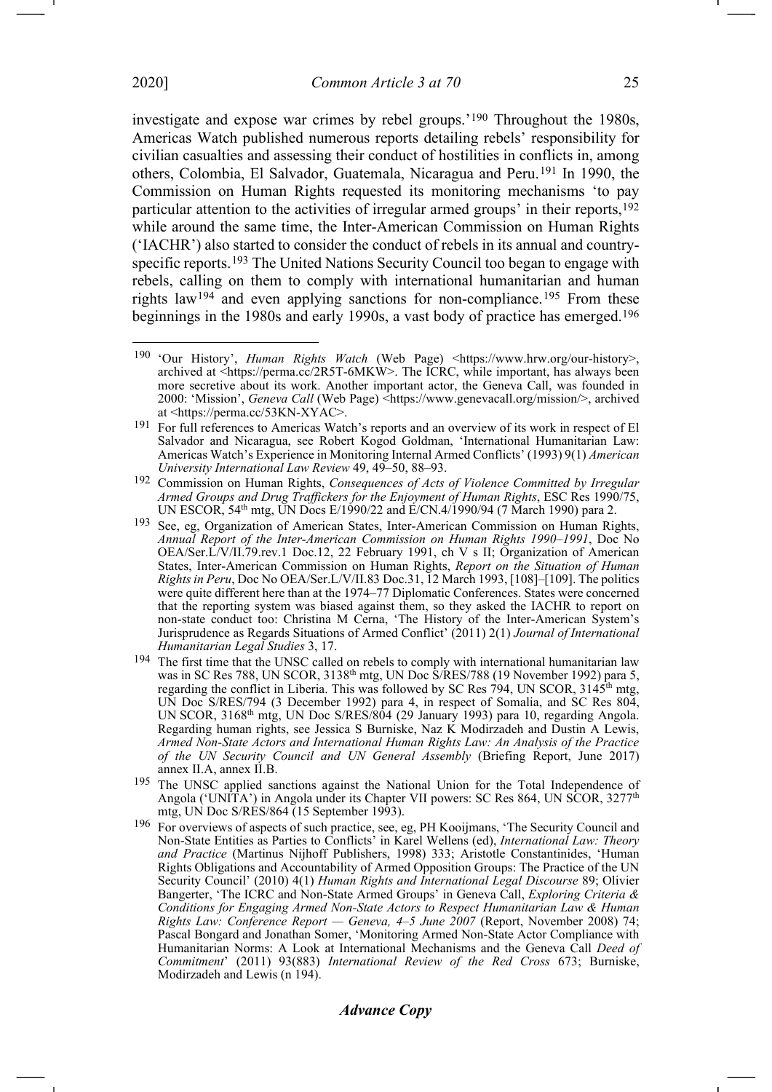investigate and expose war crimes by rebel groups.['190](#page-24-1) Throughout the 1980s, Americas Watch published numerous reports detailing rebels' responsibility for civilian casualties and assessing their conduct of hostilities in conflicts in, among others, Colombia, El Salvador, Guatemala, Nicaragua and Peru.[191](#page-24-2) In 1990, the Commission on Human Rights requested its monitoring mechanisms 'to pay particular attention to the activities of irregular armed groups' in their reports,<sup>192</sup> while around the same time, the Inter-American Commission on Human Rights ('IACHR') also started to consider the conduct of rebels in its annual and countryspecific reports.[193](#page-24-4) The United Nations Security Council too began to engage with rebels, calling on them to comply with international humanitarian and human rights law[194](#page-24-5) and even applying sanctions for non-compliance.[195](#page-24-6) From these beginnings in the 1980s and early 1990s, a vast body of practice has emerged.[196](#page-24-7)

<span id="page-24-1"></span><span id="page-24-0"></span><sup>190</sup> 'Our History', *Human Rights Watch* (Web Page) <https://www.hrw.org/our-history>, archived at <https://perma.cc/2R5T-6MKW>. The ICRC, while important, has always been more secretive about its work. Another important actor, the Geneva Call, was founded in 2000: 'Mission', *Geneva Call* (Web Page) <https://www.genevacall.org/mission/>, archived

<span id="page-24-2"></span>at <https://perma.cc/53KN-XYAC>. 191 For full references to Americas Watch's reports and an overview of its work in respect of El Salvador and Nicaragua, see Robert Kogod Goldman, 'International Humanitarian Law: Americas Watch's Experience in Monitoring Internal Armed Conflicts' (1993) 9(1) *American University International Law Review* 49, 49–50, 88–93.

<span id="page-24-3"></span><sup>192</sup> Commission on Human Rights, *Consequences of Acts of Violence Committed by Irregular Armed Groups and Drug Traffickers for the Enjoyment of Human Rights*, ESC Res 1990/75, UN ESCOR, 54<sup>th</sup> mtg, UN Docs E/1990/22 and E/CN.4/1990/94 (7 March 1990) para 2.

<span id="page-24-4"></span><sup>193</sup> See, eg, Organization of American States, Inter-American Commission on Human Rights, *Annual Report of the Inter-American Commission on Human Rights 1990–1991*, Doc No OEA/Ser.L/V/II.79.rev.1 Doc.12, 22 February 1991, ch V s II; Organization of American States, Inter-American Commission on Human Rights, *Report on the Situation of Human Rights in Peru*, Doc No OEA/Ser.L/V/II.83 Doc.31, 12 March 1993, [108]–[109]. The politics were quite different here than at the 1974–77 Diplomatic Conferences. States were concerned that the reporting system was biased against them, so they asked the IACHR to report on non-state conduct too: Christina M Cerna, 'The History of the Inter-American System's Jurisprudence as Regards Situations of Armed Conflict' (2011) 2(1) *Journal of International Humanitarian Legal Studies* 3, 17.

<span id="page-24-5"></span><sup>&</sup>lt;sup>194</sup> The first time that the UNSC called on rebels to comply with international humanitarian law was in SC Res 788, UN SCOR, 3138<sup>th</sup> mtg, UN Doc S/RES/788 (19 November 1992) para 5, regarding the conflict in Liberia. This was followed by SC Res  $\overline{7}94$ , UN SCOR,  $3145^{\text{th}}$  mtg, UN Doc S/RES/794 (3 December 1992) para 4, in respect of Somalia, and SC Res 804, UN SCOR, 3168th mtg, UN Doc S/RES/804 (29 January 1993) para 10, regarding Angola. Regarding human rights, see Jessica S Burniske, Naz K Modirzadeh and Dustin A Lewis, *Armed Non-State Actors and International Human Rights Law: An Analysis of the Practice of the UN Security Council and UN General Assembly* (Briefing Report, June 2017) annex II.A, annex II.B.

<span id="page-24-6"></span><sup>&</sup>lt;sup>195</sup> The UNSC applied sanctions against the National Union for the Total Independence of Angola ('UNITA') in Angola under its Chapter VII powers: SC Res 864, UN SCOR, 3277<sup>th</sup> mtg, UN Doc S/RES/864 (15 September 1993).

<span id="page-24-7"></span><sup>196</sup> For overviews of aspects of such practice, see, eg, PH Kooijmans, 'The Security Council and Non-State Entities as Parties to Conflicts' in Karel Wellens (ed), *International Law: Theory and Practice* (Martinus Nijhoff Publishers, 1998) 333; Aristotle Constantinides, 'Human Rights Obligations and Accountability of Armed Opposition Groups: The Practice of the UN Security Council' (2010) 4(1) *Human Rights and International Legal Discourse* 89; Olivier Bangerter, 'The ICRC and Non-State Armed Groups' in Geneva Call, *Exploring Criteria & Conditions for Engaging Armed Non-State Actors to Respect Humanitarian Law & Human Rights Law: Conference Report — Geneva, 4–5 June 2007* (Report, November 2008) 74; Pascal Bongard and Jonathan Somer, 'Monitoring Armed Non-State Actor Compliance with Humanitarian Norms: A Look at International Mechanisms and the Geneva Call *Deed of Commitment*' (2011) 93(883) *International Review of the Red Cross* 673; Burniske, Modirzadeh and Lewis (n [194\)](#page-24-0).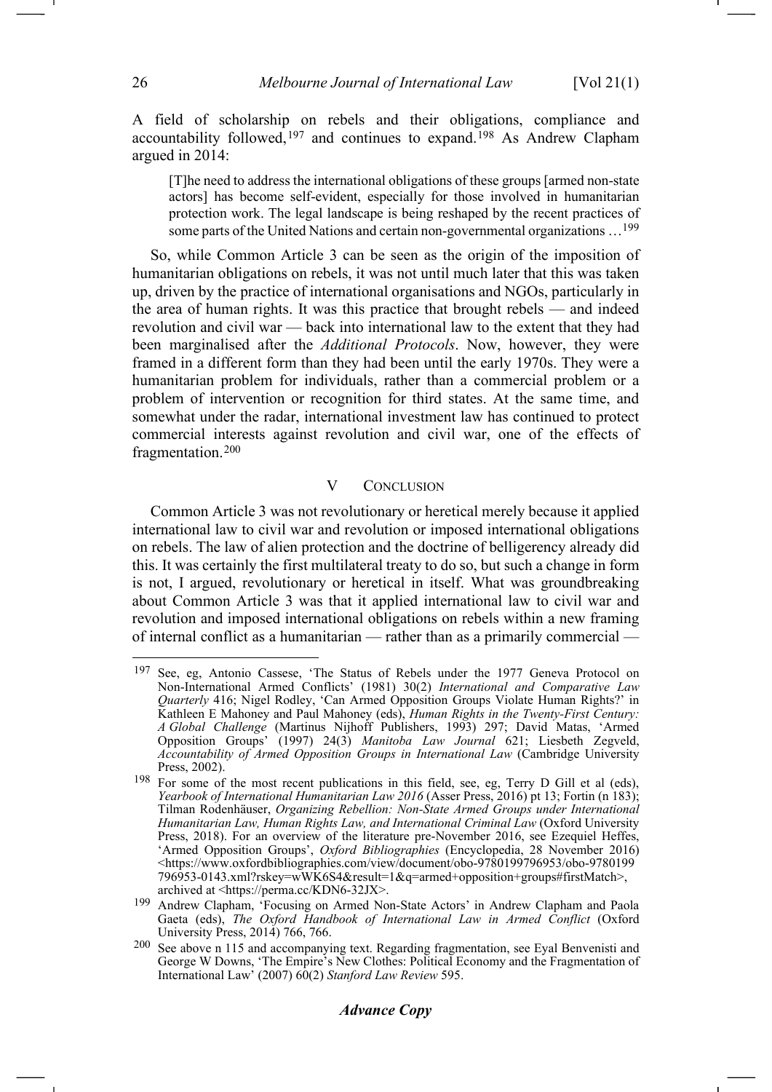A field of scholarship on rebels and their obligations, compliance and accountability followed,  $197$  and continues to expand.<sup>[198](#page-25-1)</sup> As Andrew Clapham argued in 2014:

[T]he need to address the international obligations of these groups [armed non-state actors] has become self-evident, especially for those involved in humanitarian protection work. The legal landscape is being reshaped by the recent practices of some parts of the United Nations and certain non-governmental organizations […199](#page-25-2)

So, while Common Article 3 can be seen as the origin of the imposition of humanitarian obligations on rebels, it was not until much later that this was taken up, driven by the practice of international organisations and NGOs, particularly in the area of human rights. It was this practice that brought rebels — and indeed revolution and civil war — back into international law to the extent that they had been marginalised after the *Additional Protocols*. Now, however, they were framed in a different form than they had been until the early 1970s. They were a humanitarian problem for individuals, rather than a commercial problem or a problem of intervention or recognition for third states. At the same time, and somewhat under the radar, international investment law has continued to protect commercial interests against revolution and civil war, one of the effects of fragmentation.[200](#page-25-3)

#### V CONCLUSION

Common Article 3 was not revolutionary or heretical merely because it applied international law to civil war and revolution or imposed international obligations on rebels. The law of alien protection and the doctrine of belligerency already did this. It was certainly the first multilateral treaty to do so, but such a change in form is not, I argued, revolutionary or heretical in itself. What was groundbreaking about Common Article 3 was that it applied international law to civil war and revolution and imposed international obligations on rebels within a new framing of internal conflict as a humanitarian — rather than as a primarily commercial —

<span id="page-25-0"></span><sup>197</sup> See, eg, Antonio Cassese, 'The Status of Rebels under the 1977 Geneva Protocol on Non-International Armed Conflicts' (1981) 30(2) *International and Comparative Law Quarterly* 416; Nigel Rodley, 'Can Armed Opposition Groups Violate Human Rights?' in Kathleen E Mahoney and Paul Mahoney (eds), *Human Rights in the Twenty-First Century: A Global Challenge* (Martinus Nijhoff Publishers, 1993) 297; David Matas, 'Armed Opposition Groups' (1997) 24(3) *Manitoba Law Journal* 621; Liesbeth Zegveld, *Accountability of Armed Opposition Groups in International Law* (Cambridge University Press, 2002).

<span id="page-25-1"></span><sup>198</sup> For some of the most recent publications in this field, see, eg, Terry D Gill et al (eds), *Yearbook of International Humanitarian Law 2016* (Asser Press, 2016) pt 13; Fortin (n [183\)](#page-22-10); Tilman Rodenhäuser, *Organizing Rebellion: Non-State Armed Groups under International Humanitarian Law, Human Rights Law, and International Criminal Law* (Oxford University Press, 2018). For an overview of the literature pre-November 2016, see Ezequiel Heffes, 'Armed Opposition Groups', *Oxford Bibliographies* (Encyclopedia, 28 November 2016) <https://www.oxfordbibliographies.com/view/document/obo-9780199796953/obo-9780199 796953-0143.xml?rskey=wWK6S4&result=1&q=armed+opposition+groups#firstMatch>,

<span id="page-25-2"></span><sup>&</sup>lt;sup>199</sup> Andrew Clapham, 'Focusing on Armed Non-State Actors' in Andrew Clapham and Paola Gaeta (eds), *The Oxford Handbook of International Law in Armed Conflict* (Oxford University Press, 2014) 766, 766.

<span id="page-25-3"></span> $200$  See above n 115 and accompanying text. Regarding fragmentation, see Eyal Benvenisti and George W Downs, 'The Empire's New Clothes: Political Economy and the Fragmentation of International Law' (2007) 60(2) *Stanford Law Review* 595.